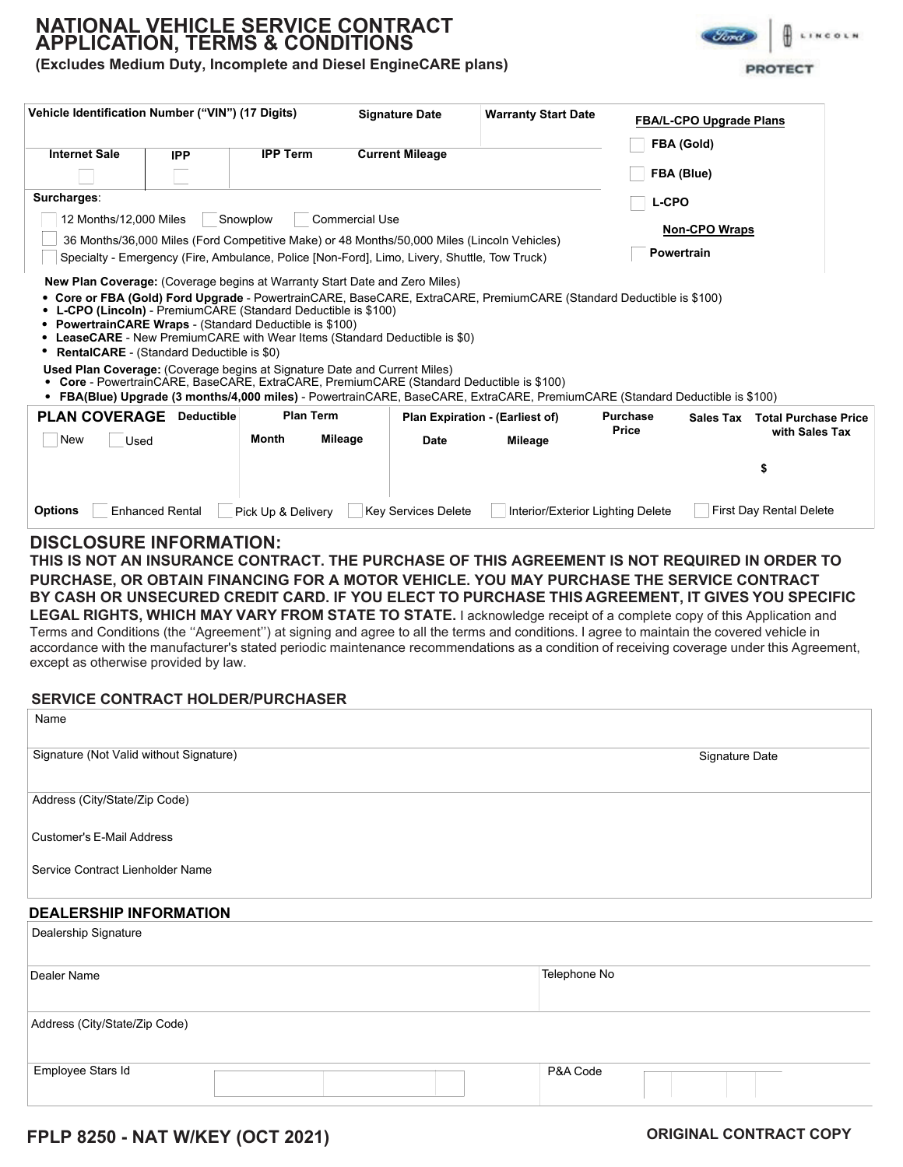# **NATIONAL VEHICLE SERVICE CONTRACT APPLICATION, TERMS & CONDITIONS**

**(Excludes Medium Duty, Incomplete and Diesel EngineCARE plans)** 

| Vehicle Identification Number ("VIN") (17 Digits)                                                                                                                                                                                                                                                                                                                                                                                      |                        |                    |                  | <b>Signature Date</b>      | <b>Warranty Start Date</b>                                                                                                                                                                                                                          |                          | <b>FBA/L-CPO Upgrade Plans</b> |                                               |  |
|----------------------------------------------------------------------------------------------------------------------------------------------------------------------------------------------------------------------------------------------------------------------------------------------------------------------------------------------------------------------------------------------------------------------------------------|------------------------|--------------------|------------------|----------------------------|-----------------------------------------------------------------------------------------------------------------------------------------------------------------------------------------------------------------------------------------------------|--------------------------|--------------------------------|-----------------------------------------------|--|
| <b>Internet Sale</b>                                                                                                                                                                                                                                                                                                                                                                                                                   | <b>IPP</b>             | <b>IPP Term</b>    |                  | <b>Current Mileage</b>     |                                                                                                                                                                                                                                                     |                          | FBA (Gold)                     |                                               |  |
|                                                                                                                                                                                                                                                                                                                                                                                                                                        |                        |                    |                  |                            |                                                                                                                                                                                                                                                     |                          | FBA (Blue)                     |                                               |  |
| Surcharges:                                                                                                                                                                                                                                                                                                                                                                                                                            |                        |                    |                  |                            |                                                                                                                                                                                                                                                     | <b>L-CPO</b>             |                                |                                               |  |
| 12 Months/12,000 Miles<br>Commercial Use<br>Snowplow                                                                                                                                                                                                                                                                                                                                                                                   |                        |                    |                  |                            |                                                                                                                                                                                                                                                     |                          |                                |                                               |  |
| 36 Months/36,000 Miles (Ford Competitive Make) or 48 Months/50,000 Miles (Lincoln Vehicles)                                                                                                                                                                                                                                                                                                                                            |                        |                    |                  |                            |                                                                                                                                                                                                                                                     |                          | <b>Non-CPO Wraps</b>           |                                               |  |
| <b>Powertrain</b><br>Specialty - Emergency (Fire, Ambulance, Police [Non-Ford], Limo, Livery, Shuttle, Tow Truck)                                                                                                                                                                                                                                                                                                                      |                        |                    |                  |                            |                                                                                                                                                                                                                                                     |                          |                                |                                               |  |
| • L-CPO (Lincoln) - PremiumCARE (Standard Deductible is \$100)<br>• PowertrainCARE Wraps - (Standard Deductible is \$100)<br>• LeaseCARE - New PremiumCARE with Wear Items (Standard Deductible is \$0)<br>• RentalCARE - (Standard Deductible is \$0)<br><b>Used Plan Coverage:</b> (Coverage begins at Signature Date and Current Miles)<br>• Core - PowertrainCARE, BaseCARE, ExtraCARE, PremiumCARE (Standard Deductible is \$100) |                        |                    |                  |                            | • Core or FBA (Gold) Ford Upgrade - PowertrainCARE, BaseCARE, ExtraCARE, PremiumCARE (Standard Deductible is \$100)<br>• FBA(Blue) Upgrade (3 months/4,000 miles) - PowertrainCARE, BaseCARE, ExtraCARE, PremiumCARE (Standard Deductible is \$100) |                          |                                |                                               |  |
| <b>PLAN COVERAGE</b>                                                                                                                                                                                                                                                                                                                                                                                                                   | <b>Deductible</b>      |                    | <b>Plan Term</b> |                            | Plan Expiration - (Earliest of)                                                                                                                                                                                                                     | <b>Purchase</b><br>Price | <b>Sales Tax</b>               | <b>Total Purchase Price</b><br>with Sales Tax |  |
| New<br>Used                                                                                                                                                                                                                                                                                                                                                                                                                            |                        | Month              | Mileage          | <b>Date</b>                | Mileage                                                                                                                                                                                                                                             |                          |                                |                                               |  |
|                                                                                                                                                                                                                                                                                                                                                                                                                                        |                        |                    |                  |                            |                                                                                                                                                                                                                                                     |                          |                                | \$                                            |  |
| <b>Options</b>                                                                                                                                                                                                                                                                                                                                                                                                                         | <b>Enhanced Rental</b> | Pick Up & Delivery |                  | <b>Key Services Delete</b> | Interior/Exterior Lighting Delete                                                                                                                                                                                                                   |                          |                                | <b>First Day Rental Delete</b>                |  |
| <b>DISCLOSURE INFORMATION:</b>                                                                                                                                                                                                                                                                                                                                                                                                         |                        |                    |                  |                            |                                                                                                                                                                                                                                                     |                          |                                |                                               |  |

## THIS IS NOT AN INSURANCE CONTRACT. THE PURCHASE OF THIS AGREEMENT IS NOT REQUIRED IN ORDER TO **PURCHASE, OR OBTAIN FINANCING FOR A MOTOR VEHICLE. YOU MAY PURCHASE THE SERVICE CONTRACT BY CASH OR UNSECURED CREDIT CARD. IF YOU ELECT TO PURCHASE THIS AGREEMENT, IT GIVES YOU SPECIFIC** LEGAL RIGHTS, WHICH MAY VARY FROM STATE TO STATE. I acknowledge receipt of a complete copy of this Application and

Terms and Conditions (the "Agreement") at signing and agree to all the terms and conditions. I agree to maintain the covered vehicle in accordance with the manufacturer's stated periodic maintenance recommendations as a condition of receiving coverage under this Agreement, except as otherwise provided by law.

## **SERVICE CONTRACT HOLDER/PURCHASER**

| Name                                    |              |                |
|-----------------------------------------|--------------|----------------|
| Signature (Not Valid without Signature) |              | Signature Date |
| Address (City/State/Zip Code)           |              |                |
| <b>Customer's E-Mail Address</b>        |              |                |
| Service Contract Lienholder Name        |              |                |
| <b>DEALERSHIP INFORMATION</b>           |              |                |
| Dealership Signature                    |              |                |
| Dealer Name                             | Telephone No |                |
| Address (City/State/Zip Code)           |              |                |
| Employee Stars Id                       | P&A Code     |                |

**FPLP 8250 - NAT W/KEY (OCT 2021) ORIGINAL CONTRACT COPY**



**PROTECT**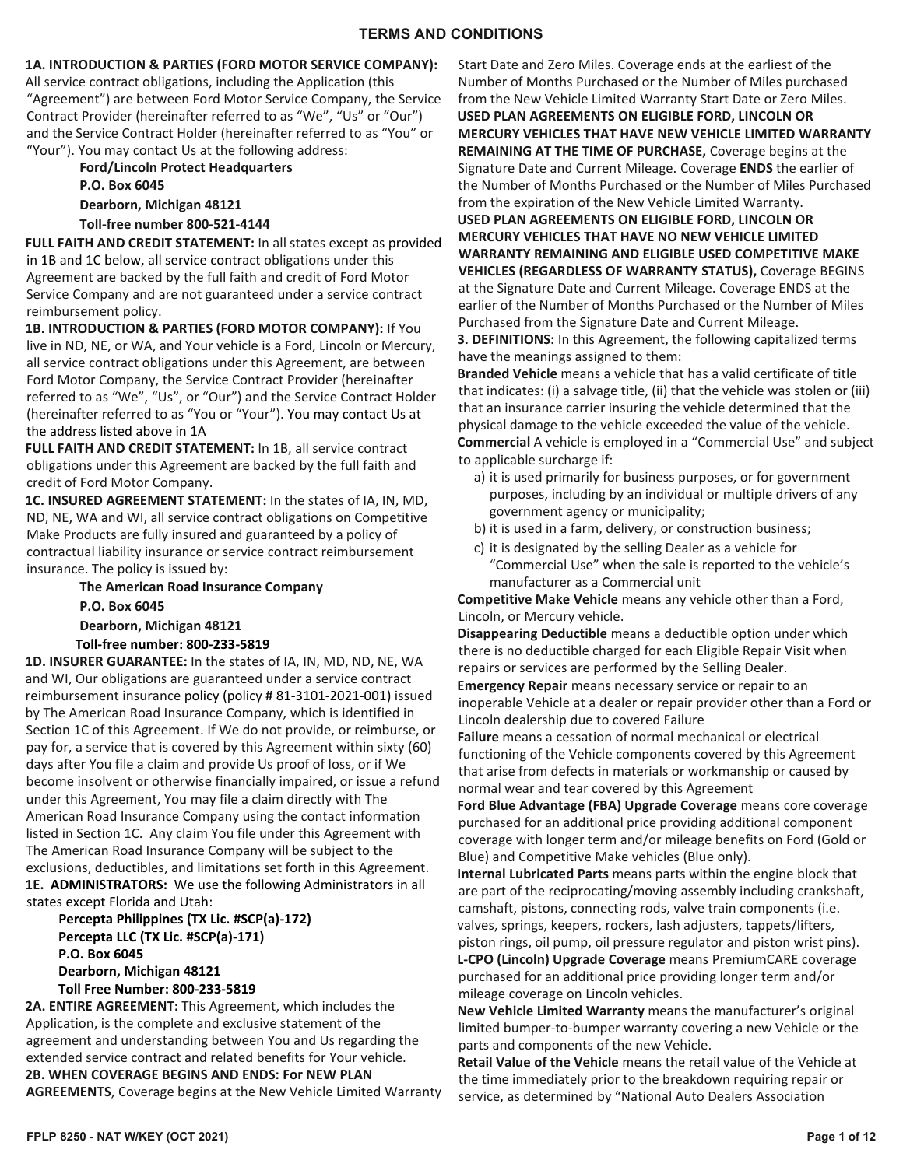## **1A. INTRODUCTION & PARTIES (FORD MOTOR SERVICE COMPANY):**

All service contract obligations, including the Application (this "Agreement") are between Ford Motor Service Company, the Service Contract Provider (hereinafter referred to as "We", "Us" or "Our") and the Service Contract Holder (hereinafter referred to as "You" or "Your"). You may contact Us at the following address:

## **Ford/Lincoln Protect Headquarters P.O. Box 6045 Dearborn, Michigan 48121**

**Toll-free number 800-521-4144**

**FULL FAITH AND CREDIT STATEMENT:** In all states except as provided in 1B and 1C below, all service contract obligations under this Agreement are backed by the full faith and credit of Ford Motor Service Company and are not guaranteed under a service contract reimbursement policy.

**1B. INTRODUCTION & PARTIES (FORD MOTOR COMPANY):** If You live in ND, NE, or WA, and Your vehicle is a Ford, Lincoln or Mercury, all service contract obligations under this Agreement, are between Ford Motor Company, the Service Contract Provider (hereinafter referred to as "We", "Us", or "Our") and the Service Contract Holder (hereinafter referred to as "You or "Your"). You may contact Us at the address listed above in 1A

**FULL FAITH AND CREDIT STATEMENT:** In 1B, all service contract obligations under this Agreement are backed by the full faith and credit of Ford Motor Company.

**1C. INSURED AGREEMENT STATEMENT:** In the states of IA, IN, MD, ND, NE, WA and WI, all service contract obligations on Competitive Make Products are fully insured and guaranteed by a policy of contractual liability insurance or service contract reimbursement insurance. The policy is issued by:

> **The American Road Insurance Company P.O. Box 6045 Dearborn, Michigan 48121 Toll-free number: 800-233-5819**

**1D. INSURER GUARANTEE:** In the states of IA, IN, MD, ND, NE, WA and WI, Our obligations are guaranteed under a service contract reimbursement insurance policy (policy # 81-3101-2021-001) issued by The American Road Insurance Company, which is identified in Section 1C of this Agreement. If We do not provide, or reimburse, or pay for, a service that is covered by this Agreement within sixty (60) days after You file a claim and provide Us proof of loss, or if We become insolvent or otherwise financially impaired, or issue a refund under this Agreement, You may file a claim directly with The American Road Insurance Company using the contact information listed in Section 1C. Any claim You file under this Agreement with The American Road Insurance Company will be subject to the exclusions, deductibles, and limitations set forth in this Agreement. **1E. ADMINISTRATORS:** We use the following Administrators in all states except Florida and Utah:

**Percepta Philippines (TX Lic. #SCP(a)-172) Percepta LLC (TX Lic. #SCP(a)-171) P.O. Box 6045 Dearborn, Michigan 48121 Toll Free Number: 800-233-5819**

**2A. ENTIRE AGREEMENT:** This Agreement, which includes the Application, is the complete and exclusive statement of the agreement and understanding between You and Us regarding the extended service contract and related benefits for Your vehicle. **2B. WHEN COVERAGE BEGINS AND ENDS: For NEW PLAN AGREEMENTS**, Coverage begins at the New Vehicle Limited Warranty Start Date and Zero Miles. Coverage ends at the earliest of the Number of Months Purchased or the Number of Miles purchased from the New Vehicle Limited Warranty Start Date or Zero Miles. **USED PLAN AGREEMENTS ON ELIGIBLE FORD, LINCOLN OR MERCURY VEHICLES THAT HAVE NEW VEHICLE LIMITED WARRANTY REMAINING AT THE TIME OF PURCHASE,** Coverage begins at the Signature Date and Current Mileage. Coverage **ENDS** the earlier of the Number of Months Purchased or the Number of Miles Purchased from the expiration of the New Vehicle Limited Warranty.

**USED PLAN AGREEMENTS ON ELIGIBLE FORD, LINCOLN OR MERCURY VEHICLES THAT HAVE NO NEW VEHICLE LIMITED WARRANTY REMAINING AND ELIGIBLE USED COMPETITIVE MAKE VEHICLES (REGARDLESS OF WARRANTY STATUS),** Coverage BEGINS at the Signature Date and Current Mileage. Coverage ENDS at the earlier of the Number of Months Purchased or the Number of Miles Purchased from the Signature Date and Current Mileage.

**3. DEFINITIONS:** In this Agreement, the following capitalized terms have the meanings assigned to them:

**Branded Vehicle** means a vehicle that has a valid certificate of title that indicates: (i) a salvage title, (ii) that the vehicle was stolen or (iii) that an insurance carrier insuring the vehicle determined that the physical damage to the vehicle exceeded the value of the vehicle. **Commercial** A vehicle is employed in a "Commercial Use" and subject to applicable surcharge if:

- a) it is used primarily for business purposes, or for government purposes, including by an individual or multiple drivers of any government agency or municipality;
- b) it is used in a farm, delivery, or construction business;
- c) it is designated by the selling Dealer as a vehicle for "Commercial Use" when the sale is reported to the vehicle's manufacturer as a Commercial unit

**Competitive Make Vehicle** means any vehicle other than a Ford, Lincoln, or Mercury vehicle.

**Disappearing Deductible** means a deductible option under which there is no deductible charged for each Eligible Repair Visit when repairs or services are performed by the Selling Dealer.

**Emergency Repair** means necessary service or repair to an inoperable Vehicle at a dealer or repair provider other than a Ford or Lincoln dealership due to covered Failure

**Failure** means a cessation of normal mechanical or electrical functioning of the Vehicle components covered by this Agreement that arise from defects in materials or workmanship or caused by normal wear and tear covered by this Agreement

**Ford Blue Advantage (FBA) Upgrade Coverage** means core coverage purchased for an additional price providing additional component coverage with longer term and/or mileage benefits on Ford (Gold or Blue) and Competitive Make vehicles (Blue only).

**Internal Lubricated Parts** means parts within the engine block that are part of the reciprocating/moving assembly including crankshaft, camshaft, pistons, connecting rods, valve train components (i.e. valves, springs, keepers, rockers, lash adjusters, tappets/lifters, piston rings, oil pump, oil pressure regulator and piston wrist pins). **L-CPO (Lincoln) Upgrade Coverage** means PremiumCARE coverage purchased for an additional price providing longer term and/or mileage coverage on Lincoln vehicles.

**New Vehicle Limited Warranty** means the manufacturer's original limited bumper-to-bumper warranty covering a new Vehicle or the parts and components of the new Vehicle.

**Retail Value of the Vehicle** means the retail value of the Vehicle at the time immediately prior to the breakdown requiring repair or service, as determined by "National Auto Dealers Association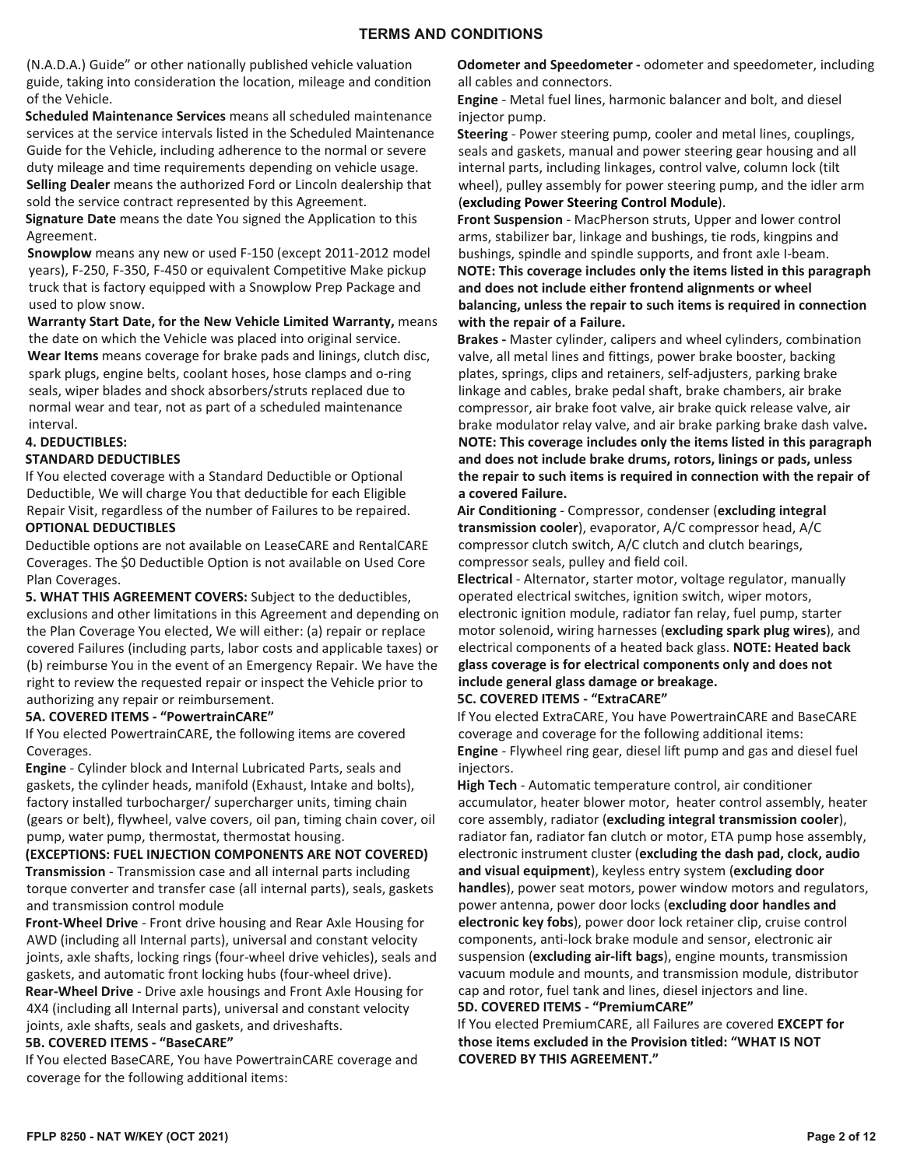(N.A.D.A.) Guide" or other nationally published vehicle valuation guide, taking into consideration the location, mileage and condition of the Vehicle.

**Scheduled Maintenance Services** means all scheduled maintenance services at the service intervals listed in the Scheduled Maintenance Guide for the Vehicle, including adherence to the normal or severe duty mileage and time requirements depending on vehicle usage. **Selling Dealer** means the authorized Ford or Lincoln dealership that sold the service contract represented by this Agreement.

**Signature Date** means the date You signed the Application to this Agreement.

**Snowplow** means any new or used F-150 (except 2011-2012 model years), F-250, F-350, F-450 or equivalent Competitive Make pickup truck that is factory equipped with a Snowplow Prep Package and used to plow snow.

**Warranty Start Date, for the New Vehicle Limited Warranty,** means the date on which the Vehicle was placed into original service. **Wear Items** means coverage for brake pads and linings, clutch disc, spark plugs, engine belts, coolant hoses, hose clamps and o-ring seals, wiper blades and shock absorbers/struts replaced due to normal wear and tear, not as part of a scheduled maintenance

## interval.

## **4. DEDUCTIBLES:**

#### **STANDARD DEDUCTIBLES**

If You elected coverage with a Standard Deductible or Optional Deductible, We will charge You that deductible for each Eligible Repair Visit, regardless of the number of Failures to be repaired. **OPTIONAL DEDUCTIBLES**

Deductible options are not available on LeaseCARE and RentalCARE Coverages. The \$0 Deductible Option is not available on Used Core Plan Coverages.

**5. WHAT THIS AGREEMENT COVERS:** Subject to the deductibles, exclusions and other limitations in this Agreement and depending on the Plan Coverage You elected, We will either: (a) repair or replace covered Failures (including parts, labor costs and applicable taxes) or (b) reimburse You in the event of an Emergency Repair. We have the right to review the requested repair or inspect the Vehicle prior to authorizing any repair or reimbursement.

#### **5A. COVERED ITEMS - "PowertrainCARE"**

If You elected PowertrainCARE, the following items are covered Coverages.

**Engine** - Cylinder block and Internal Lubricated Parts, seals and gaskets, the cylinder heads, manifold (Exhaust, Intake and bolts), factory installed turbocharger/ supercharger units, timing chain (gears or belt), flywheel, valve covers, oil pan, timing chain cover, oil pump, water pump, thermostat, thermostat housing.

**(EXCEPTIONS: FUEL INJECTION COMPONENTS ARE NOT COVERED) Transmission** - Transmission case and all internal parts including torque converter and transfer case (all internal parts), seals, gaskets and transmission control module

**Front-Wheel Drive** - Front drive housing and Rear Axle Housing for AWD (including all Internal parts), universal and constant velocity joints, axle shafts, locking rings (four-wheel drive vehicles), seals and gaskets, and automatic front locking hubs (four-wheel drive).

**Rear-Wheel Drive** - Drive axle housings and Front Axle Housing for 4X4 (including all Internal parts), universal and constant velocity joints, axle shafts, seals and gaskets, and driveshafts.

## **5B. COVERED ITEMS - "BaseCARE"**

If You elected BaseCARE, You have PowertrainCARE coverage and coverage for the following additional items:

**Odometer and Speedometer -** odometer and speedometer, including all cables and connectors.

**Engine** - Metal fuel lines, harmonic balancer and bolt, and diesel injector pump.

**Steering** - Power steering pump, cooler and metal lines, couplings, seals and gaskets, manual and power steering gear housing and all internal parts, including linkages, control valve, column lock (tilt wheel), pulley assembly for power steering pump, and the idler arm (**excluding Power Steering Control Module**).

**Front Suspension** - MacPherson struts, Upper and lower control arms, stabilizer bar, linkage and bushings, tie rods, kingpins and bushings, spindle and spindle supports, and front axle I-beam. **NOTE: This coverage includes only the items listed in this paragraph and does not include either frontend alignments or wheel balancing, unless the repair to such items is required in connection with the repair of a Failure.**

**Brakes -** Master cylinder, calipers and wheel cylinders, combination valve, all metal lines and fittings, power brake booster, backing plates, springs, clips and retainers, self-adjusters, parking brake linkage and cables, brake pedal shaft, brake chambers, air brake compressor, air brake foot valve, air brake quick release valve, air brake modulator relay valve, and air brake parking brake dash valve**. NOTE: This coverage includes only the items listed in this paragraph and does not include brake drums, rotors, linings or pads, unless the repair to such items is required in connection with the repair of a covered Failure.** 

**Air Conditioning** - Compressor, condenser (**excluding integral transmission cooler**), evaporator, A/C compressor head, A/C compressor clutch switch, A/C clutch and clutch bearings, compressor seals, pulley and field coil.

**Electrical** - Alternator, starter motor, voltage regulator, manually operated electrical switches, ignition switch, wiper motors, electronic ignition module, radiator fan relay, fuel pump, starter motor solenoid, wiring harnesses (**excluding spark plug wires**), and electrical components of a heated back glass. **NOTE: Heated back glass coverage is for electrical components only and does not include general glass damage or breakage.** 

## **5C. COVERED ITEMS - "ExtraCARE"**

If You elected ExtraCARE, You have PowertrainCARE and BaseCARE coverage and coverage for the following additional items: **Engine** - Flywheel ring gear, diesel lift pump and gas and diesel fuel injectors.

**High Tech** - Automatic temperature control, air conditioner accumulator, heater blower motor, heater control assembly, heater core assembly, radiator (**excluding integral transmission cooler**), radiator fan, radiator fan clutch or motor, ETA pump hose assembly, electronic instrument cluster (**excluding the dash pad, clock, audio and visual equipment**), keyless entry system (**excluding door handles**), power seat motors, power window motors and regulators, power antenna, power door locks (**excluding door handles and electronic key fobs**), power door lock retainer clip, cruise control components, anti-lock brake module and sensor, electronic air suspension (**excluding air-lift bags**), engine mounts, transmission vacuum module and mounts, and transmission module, distributor cap and rotor, fuel tank and lines, diesel injectors and line. **5D. COVERED ITEMS - "PremiumCARE"**

If You elected PremiumCARE, all Failures are covered **EXCEPT for those items excluded in the Provision titled: "WHAT IS NOT COVERED BY THIS AGREEMENT."**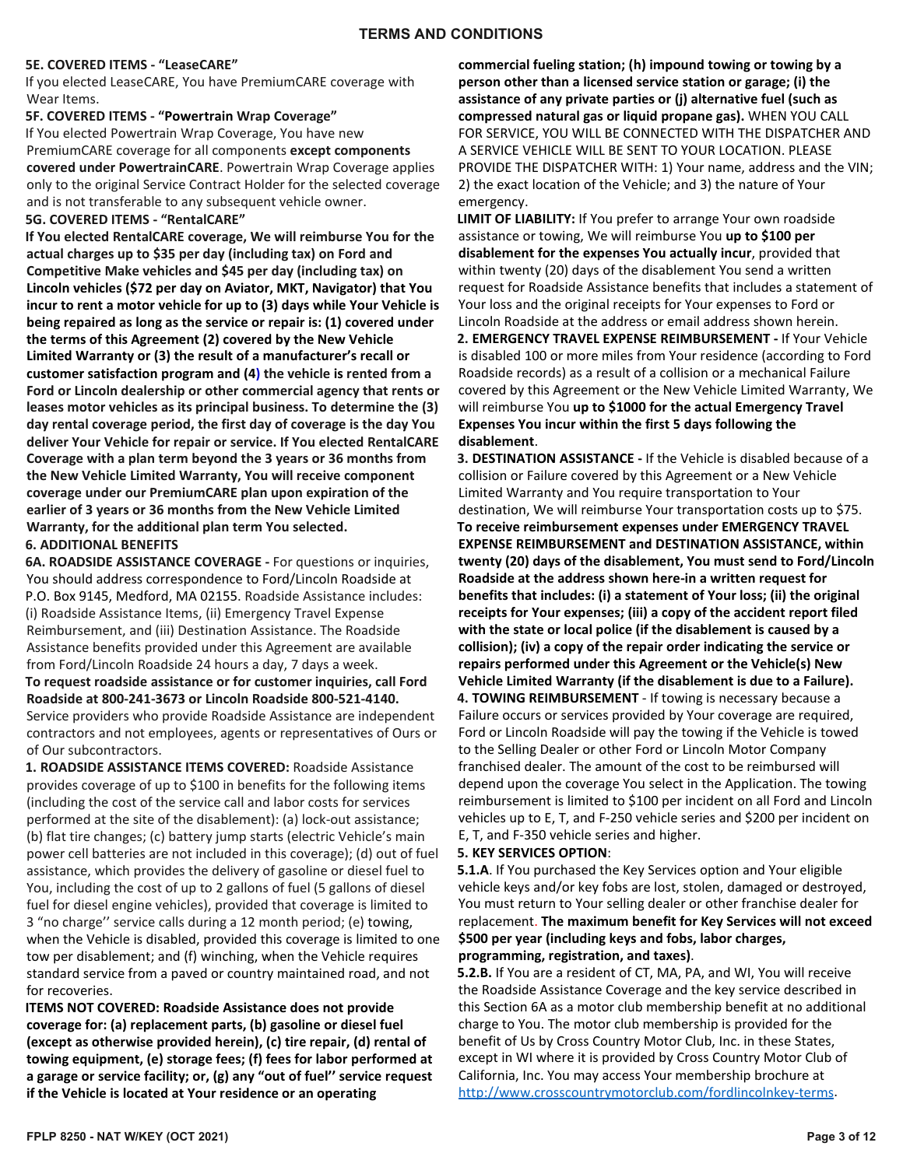#### **5E. COVERED ITEMS - "LeaseCARE"**

If you elected LeaseCARE, You have PremiumCARE coverage with Wear Items.

#### **5F. COVERED ITEMS - "Powertrain Wrap Coverage"**

If You elected Powertrain Wrap Coverage, You have new PremiumCARE coverage for all components **except components covered under PowertrainCARE**. Powertrain Wrap Coverage applies only to the original Service Contract Holder for the selected coverage and is not transferable to any subsequent vehicle owner.

### **5G. COVERED ITEMS - "RentalCARE"**

**If You elected RentalCARE coverage, We will reimburse You for the actual charges up to \$35 per day (including tax) on Ford and Competitive Make vehicles and \$45 per day (including tax) on Lincoln vehicles (\$72 per day on Aviator, MKT, Navigator) that You incur to rent a motor vehicle for up to (3) days while Your Vehicle is being repaired as long as the service or repair is: (1) covered under the terms of this Agreement (2) covered by the New Vehicle Limited Warranty or (3) the result of a manufacturer's recall or customer satisfaction program and (4) the vehicle is rented from a Ford or Lincoln dealership or other commercial agency that rents or leases motor vehicles as its principal business. To determine the (3) day rental coverage period, the first day of coverage is the day You deliver Your Vehicle for repair or service. If You elected RentalCARE Coverage with a plan term beyond the 3 years or 36 months from the New Vehicle Limited Warranty, You will receive component coverage under our PremiumCARE plan upon expiration of the earlier of 3 years or 36 months from the New Vehicle Limited Warranty, for the additional plan term You selected.**

#### **6. ADDITIONAL BENEFITS**

**6A. ROADSIDE ASSISTANCE COVERAGE -** For questions or inquiries, You should address correspondence to Ford/Lincoln Roadside at P.O. Box 9145, Medford, MA 02155. Roadside Assistance includes: (i) Roadside Assistance Items, (ii) Emergency Travel Expense Reimbursement, and (iii) Destination Assistance. The Roadside Assistance benefits provided under this Agreement are available from Ford/Lincoln Roadside 24 hours a day, 7 days a week. **To request roadside assistance or for customer inquiries, call Ford Roadside at 800-241-3673 or Lincoln Roadside 800-521-4140.**  Service providers who provide Roadside Assistance are independent contractors and not employees, agents or representatives of Ours or of Our subcontractors.

**1. ROADSIDE ASSISTANCE ITEMS COVERED:** Roadside Assistance provides coverage of up to \$100 in benefits for the following items (including the cost of the service call and labor costs for services performed at the site of the disablement): (a) lock-out assistance; (b) flat tire changes; (c) battery jump starts (electric Vehicle's main power cell batteries are not included in this coverage); (d) out of fuel assistance, which provides the delivery of gasoline or diesel fuel to You, including the cost of up to 2 gallons of fuel (5 gallons of diesel fuel for diesel engine vehicles), provided that coverage is limited to 3 "no charge'' service calls during a 12 month period; (e) towing, when the Vehicle is disabled, provided this coverage is limited to one tow per disablement; and (f) winching, when the Vehicle requires standard service from a paved or country maintained road, and not for recoveries.

**ITEMS NOT COVERED: Roadside Assistance does not provide coverage for: (a) replacement parts, (b) gasoline or diesel fuel (except as otherwise provided herein), (c) tire repair, (d) rental of towing equipment, (e) storage fees; (f) fees for labor performed at a garage or service facility; or, (g) any "out of fuel'' service request if the Vehicle is located at Your residence or an operating** 

**commercial fueling station; (h) impound towing or towing by a person other than a licensed service station or garage; (i) the assistance of any private parties or (j) alternative fuel (such as compressed natural gas or liquid propane gas).** WHEN YOU CALL FOR SERVICE, YOU WILL BE CONNECTED WITH THE DISPATCHER AND A SERVICE VEHICLE WILL BE SENT TO YOUR LOCATION. PLEASE PROVIDE THE DISPATCHER WITH: 1) Your name, address and the VIN; 2) the exact location of the Vehicle; and 3) the nature of Your emergency.

**LIMIT OF LIABILITY:** If You prefer to arrange Your own roadside assistance or towing, We will reimburse You **up to \$100 per disablement for the expenses You actually incur**, provided that within twenty (20) days of the disablement You send a written request for Roadside Assistance benefits that includes a statement of Your loss and the original receipts for Your expenses to Ford or Lincoln Roadside at the address or email address shown herein. **2. EMERGENCY TRAVEL EXPENSE REIMBURSEMENT -** If Your Vehicle is disabled 100 or more miles from Your residence (according to Ford Roadside records) as a result of a collision or a mechanical Failure covered by this Agreement or the New Vehicle Limited Warranty, We will reimburse You **up to \$1000 for the actual Emergency Travel Expenses You incur within the first 5 days following the disablement**.

**3. DESTINATION ASSISTANCE -** If the Vehicle is disabled because of a collision or Failure covered by this Agreement or a New Vehicle Limited Warranty and You require transportation to Your destination, We will reimburse Your transportation costs up to \$75. **To receive reimbursement expenses under EMERGENCY TRAVEL EXPENSE REIMBURSEMENT and DESTINATION ASSISTANCE, within twenty (20) days of the disablement, You must send to Ford/Lincoln Roadside at the address shown here-in a written request for benefits that includes: (i) a statement of Your loss; (ii) the original receipts for Your expenses; (iii) a copy of the accident report filed with the state or local police (if the disablement is caused by a collision); (iv) a copy of the repair order indicating the service or repairs performed under this Agreement or the Vehicle(s) New Vehicle Limited Warranty (if the disablement is due to a Failure). 4. TOWING REIMBURSEMENT** - If towing is necessary because a Failure occurs or services provided by Your coverage are required, Ford or Lincoln Roadside will pay the towing if the Vehicle is towed to the Selling Dealer or other Ford or Lincoln Motor Company franchised dealer. The amount of the cost to be reimbursed will depend upon the coverage You select in the Application. The towing reimbursement is limited to \$100 per incident on all Ford and Lincoln vehicles up to E, T, and F-250 vehicle series and \$200 per incident on E, T, and F-350 vehicle series and higher.

## **5. KEY SERVICES OPTION**:

**5.1.A**. If You purchased the Key Services option and Your eligible vehicle keys and/or key fobs are lost, stolen, damaged or destroyed, You must return to Your selling dealer or other franchise dealer for replacement. **The maximum benefit for Key Services will not exceed \$500 per year (including keys and fobs, labor charges, programming, registration, and taxes)**.

**5.2.B.** If You are a resident of CT, MA, PA, and WI, You will receive the Roadside Assistance Coverage and the key service described in this Section 6A as a motor club membership benefit at no additional charge to You. The motor club membership is provided for the benefit of Us by Cross Country Motor Club, Inc. in these States, except in WI where it is provided by Cross Country Motor Club of California, Inc. You may access Your membership brochure at [http://www.crosscountrymotorclub.com/fordlincolnkey-terms.](http://www.crosscountrymotorclub.com/fordlincolnkey-terms)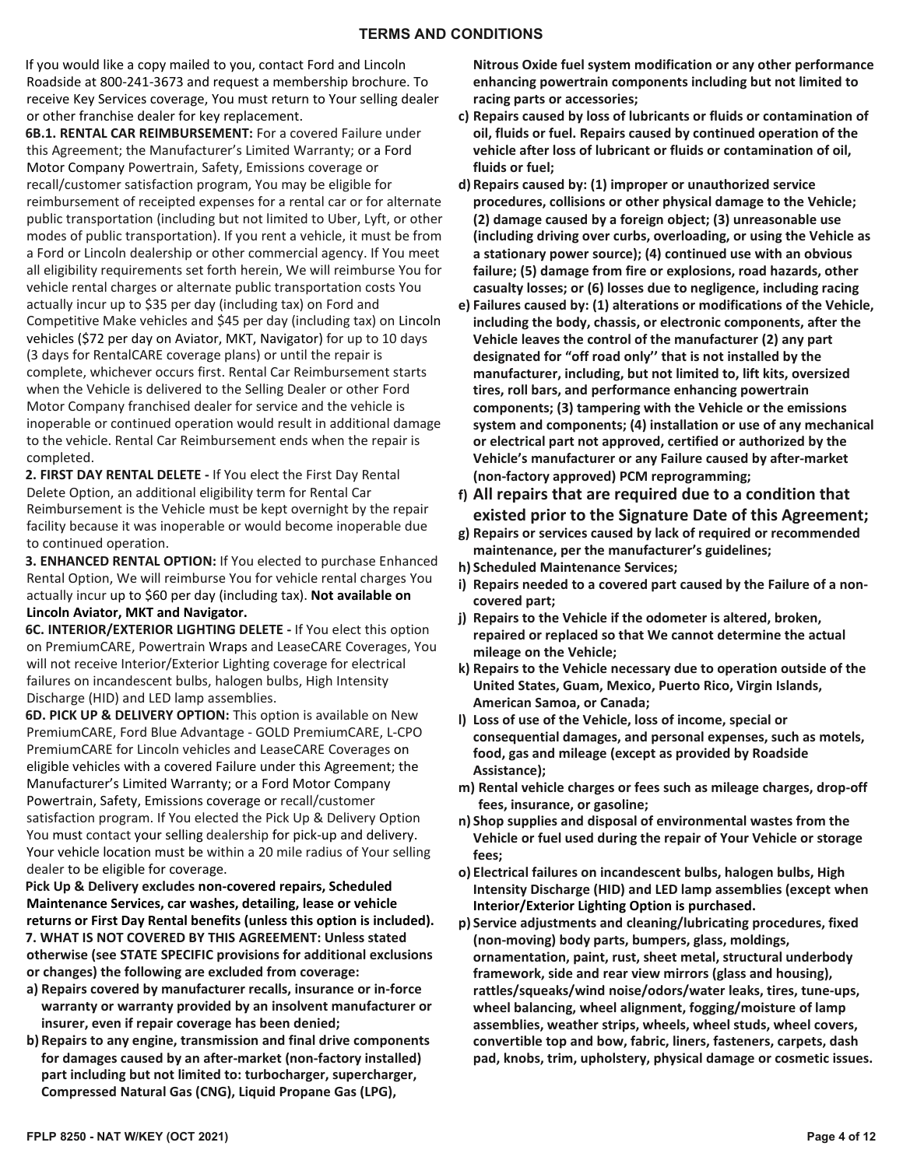If you would like a copy mailed to you, contact Ford and Lincoln Roadside at 800-241-3673 and request a membership brochure. To receive Key Services coverage, You must return to Your selling dealer or other franchise dealer for key replacement.

**6B.1. RENTAL CAR REIMBURSEMENT:** For a covered Failure under this Agreement; the Manufacturer's Limited Warranty; or a Ford Motor Company Powertrain, Safety, Emissions coverage or recall/customer satisfaction program, You may be eligible for reimbursement of receipted expenses for a rental car or for alternate public transportation (including but not limited to Uber, Lyft, or other modes of public transportation). If you rent a vehicle, it must be from a Ford or Lincoln dealership or other commercial agency. If You meet all eligibility requirements set forth herein, We will reimburse You for vehicle rental charges or alternate public transportation costs You actually incur up to \$35 per day (including tax) on Ford and Competitive Make vehicles and \$45 per day (including tax) on Lincoln vehicles (\$72 per day on Aviator, MKT, Navigator) for up to 10 days (3 days for RentalCARE coverage plans) or until the repair is complete, whichever occurs first. Rental Car Reimbursement starts when the Vehicle is delivered to the Selling Dealer or other Ford Motor Company franchised dealer for service and the vehicle is inoperable or continued operation would result in additional damage to the vehicle. Rental Car Reimbursement ends when the repair is completed.

**2. FIRST DAY RENTAL DELETE -** If You elect the First Day Rental Delete Option, an additional eligibility term for Rental Car Reimbursement is the Vehicle must be kept overnight by the repair facility because it was inoperable or would become inoperable due to continued operation.

**3. ENHANCED RENTAL OPTION:** If You elected to purchase Enhanced Rental Option, We will reimburse You for vehicle rental charges You actually incur up to \$60 per day (including tax). **Not available on Lincoln Aviator, MKT and Navigator.**

**6C. INTERIOR/EXTERIOR LIGHTING DELETE -** If You elect this option on PremiumCARE, Powertrain Wraps and LeaseCARE Coverages, You will not receive Interior/Exterior Lighting coverage for electrical failures on incandescent bulbs, halogen bulbs, High Intensity Discharge (HID) and LED lamp assemblies.

**6D. PICK UP & DELIVERY OPTION:** This option is available on New PremiumCARE, Ford Blue Advantage - GOLD PremiumCARE, L-CPO PremiumCARE for Lincoln vehicles and LeaseCARE Coverages on eligible vehicles with a covered Failure under this Agreement; the Manufacturer's Limited Warranty; or a Ford Motor Company Powertrain, Safety, Emissions coverage or recall/customer satisfaction program. If You elected the Pick Up & Delivery Option You must contact your selling dealership for pick-up and delivery. Your vehicle location must be within a 20 mile radius of Your selling dealer to be eligible for coverage.

**Pick Up & Delivery excludes non-covered repairs, Scheduled Maintenance Services, car washes, detailing, lease or vehicle returns or First Day Rental benefits (unless this option is included). 7. WHAT IS NOT COVERED BY THIS AGREEMENT: Unless stated otherwise (see STATE SPECIFIC provisions for additional exclusions or changes) the following are excluded from coverage:** 

- **a) Repairs covered by manufacturer recalls, insurance or in-force warranty or warranty provided by an insolvent manufacturer or insurer, even if repair coverage has been denied;**
- **b) Repairs to any engine, transmission and final drive components for damages caused by an after-market (non-factory installed) part including but not limited to: turbocharger, supercharger, Compressed Natural Gas (CNG), Liquid Propane Gas (LPG),**

**Nitrous Oxide fuel system modification or any other performance enhancing powertrain components including but not limited to racing parts or accessories;** 

- **c) Repairs caused by loss of lubricants or fluids or contamination of oil, fluids or fuel. Repairs caused by continued operation of the vehicle after loss of lubricant or fluids or contamination of oil, fluids or fuel;**
- **d) Repairs caused by: (1) improper or unauthorized service procedures, collisions or other physical damage to the Vehicle; (2) damage caused by a foreign object; (3) unreasonable use (including driving over curbs, overloading, or using the Vehicle as a stationary power source); (4) continued use with an obvious failure; (5) damage from fire or explosions, road hazards, other casualty losses; or (6) losses due to negligence, including racing**
- **e) Failures caused by: (1) alterations or modifications of the Vehicle, including the body, chassis, or electronic components, after the Vehicle leaves the control of the manufacturer (2) any part designated for "off road only'' that is not installed by the manufacturer, including, but not limited to, lift kits, oversized tires, roll bars, and performance enhancing powertrain components; (3) tampering with the Vehicle or the emissions system and components; (4) installation or use of any mechanical or electrical part not approved, certified or authorized by the Vehicle's manufacturer or any Failure caused by after-market (non-factory approved) PCM reprogramming;**
- **f) All repairs that are required due to a condition that existed prior to the Signature Date of this Agreement;**
- **g) Repairs or services caused by lack of required or recommended maintenance, per the manufacturer's guidelines;**
- **h) Scheduled Maintenance Services;**
- **i) Repairs needed to a covered part caused by the Failure of a noncovered part;**
- **j) Repairs to the Vehicle if the odometer is altered, broken, repaired or replaced so that We cannot determine the actual mileage on the Vehicle;**
- **k) Repairs to the Vehicle necessary due to operation outside of the United States, Guam, Mexico, Puerto Rico, Virgin Islands, American Samoa, or Canada;**
- **l) Loss of use of the Vehicle, loss of income, special or consequential damages, and personal expenses, such as motels, food, gas and mileage (except as provided by Roadside Assistance);**
- **m) Rental vehicle charges or fees such as mileage charges, drop-off fees, insurance, or gasoline;**
- **n) Shop supplies and disposal of environmental wastes from the Vehicle or fuel used during the repair of Your Vehicle or storage fees;**
- **o) Electrical failures on incandescent bulbs, halogen bulbs, High Intensity Discharge (HID) and LED lamp assemblies (except when Interior/Exterior Lighting Option is purchased.**
- **p) Service adjustments and cleaning/lubricating procedures, fixed (non-moving) body parts, bumpers, glass, moldings, ornamentation, paint, rust, sheet metal, structural underbody framework, side and rear view mirrors (glass and housing), rattles/squeaks/wind noise/odors/water leaks, tires, tune-ups, wheel balancing, wheel alignment, fogging/moisture of lamp assemblies, weather strips, wheels, wheel studs, wheel covers, convertible top and bow, fabric, liners, fasteners, carpets, dash pad, knobs, trim, upholstery, physical damage or cosmetic issues.**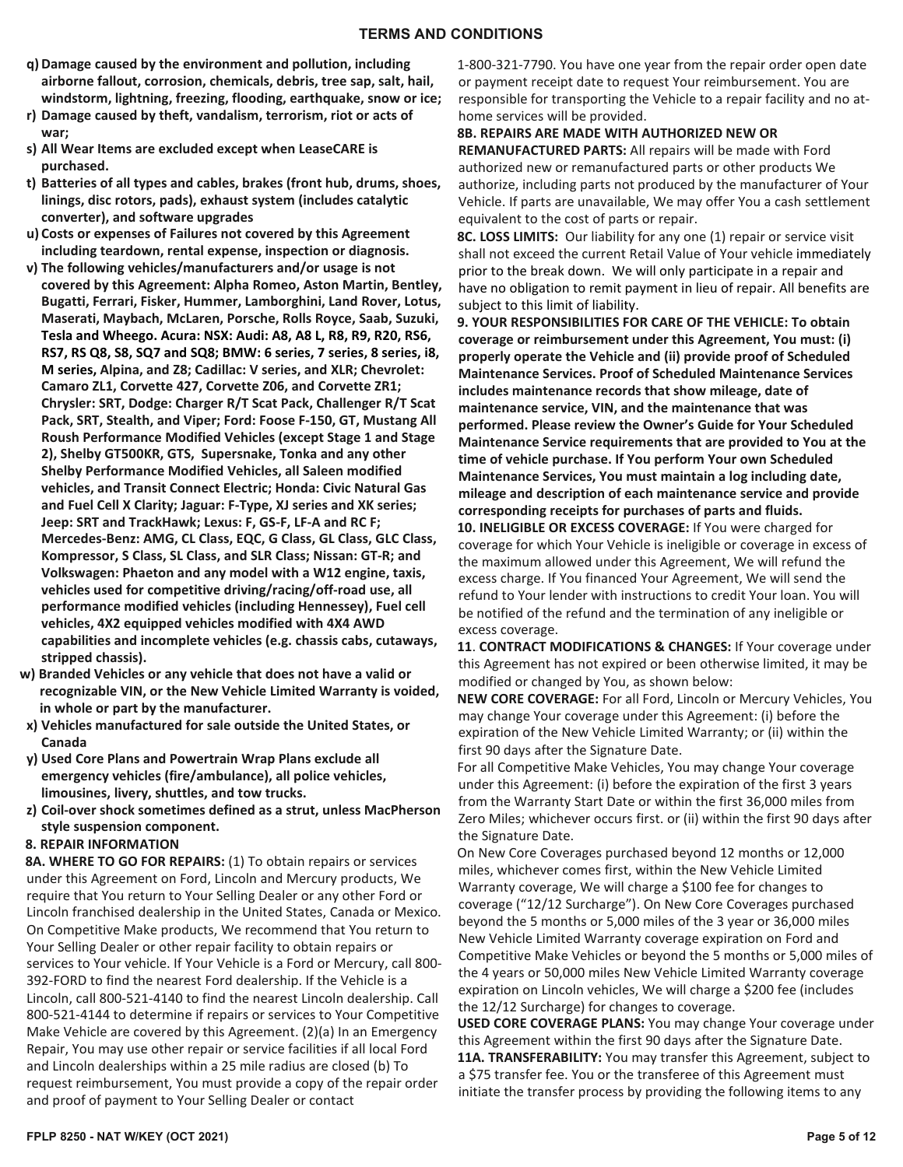- **q) Damage caused by the environment and pollution, including airborne fallout, corrosion, chemicals, debris, tree sap, salt, hail, windstorm, lightning, freezing, flooding, earthquake, snow or ice;**
- **r) Damage caused by theft, vandalism, terrorism, riot or acts of war;**
- **s) All Wear Items are excluded except when LeaseCARE is purchased.**
- **t) Batteries of all types and cables, brakes (front hub, drums, shoes, linings, disc rotors, pads), exhaust system (includes catalytic converter), and software upgrades**
- **u) Costs or expenses of Failures not covered by this Agreement including teardown, rental expense, inspection or diagnosis.**
- **v) The following vehicles/manufacturers and/or usage is not covered by this Agreement: Alpha Romeo, Aston Martin, Bentley, Bugatti, Ferrari, Fisker, Hummer, Lamborghini, Land Rover, Lotus, Maserati, Maybach, McLaren, Porsche, Rolls Royce, Saab, Suzuki, Tesla and Wheego. Acura: NSX: Audi: A8, A8 L, R8, R9, R20, RS6, RS7, RS Q8, S8, SQ7 and SQ8; BMW: 6 series, 7 series, 8 series, i8, M series, Alpina, and Z8; Cadillac: V series, and XLR; Chevrolet: Camaro ZL1, Corvette 427, Corvette Z06, and Corvette ZR1; Chrysler: SRT, Dodge: Charger R/T Scat Pack, Challenger R/T Scat Pack, SRT, Stealth, and Viper; Ford: Foose F-150, GT, Mustang All Roush Performance Modified Vehicles (except Stage 1 and Stage 2), Shelby GT500KR, GTS, Supersnake, Tonka and any other Shelby Performance Modified Vehicles, all Saleen modified vehicles, and Transit Connect Electric; Honda: Civic Natural Gas and Fuel Cell X Clarity; Jaguar: F-Type, XJ series and XK series; Jeep: SRT and TrackHawk; Lexus: F, GS-F, LF-A and RC F; Mercedes-Benz: AMG, CL Class, EQC, G Class, GL Class, GLC Class, Kompressor, S Class, SL Class, and SLR Class; Nissan: GT-R; and Volkswagen: Phaeton and any model with a W12 engine, taxis, vehicles used for competitive driving/racing/off-road use, all performance modified vehicles (including Hennessey), Fuel cell vehicles, 4X2 equipped vehicles modified with 4X4 AWD capabilities and incomplete vehicles (e.g. chassis cabs, cutaways, stripped chassis).**
- **w) Branded Vehicles or any vehicle that does not have a valid or recognizable VIN, or the New Vehicle Limited Warranty is voided, in whole or part by the manufacturer.**
- **x) Vehicles manufactured for sale outside the United States, or Canada**
- **y) Used Core Plans and Powertrain Wrap Plans exclude all emergency vehicles (fire/ambulance), all police vehicles, limousines, livery, shuttles, and tow trucks.**
- **z) Coil-over shock sometimes defined as a strut, unless MacPherson style suspension component.**
- **8. REPAIR INFORMATION**

**8A. WHERE TO GO FOR REPAIRS:** (1) To obtain repairs or services under this Agreement on Ford, Lincoln and Mercury products, We require that You return to Your Selling Dealer or any other Ford or Lincoln franchised dealership in the United States, Canada or Mexico. On Competitive Make products, We recommend that You return to Your Selling Dealer or other repair facility to obtain repairs or services to Your vehicle. If Your Vehicle is a Ford or Mercury, call 800- 392-FORD to find the nearest Ford dealership. If the Vehicle is a Lincoln, call 800-521-4140 to find the nearest Lincoln dealership. Call 800-521-4144 to determine if repairs or services to Your Competitive Make Vehicle are covered by this Agreement. (2)(a) In an Emergency Repair, You may use other repair or service facilities if all local Ford and Lincoln dealerships within a 25 mile radius are closed (b) To request reimbursement, You must provide a copy of the repair order and proof of payment to Your Selling Dealer or contact

1-800-321-7790. You have one year from the repair order open date or payment receipt date to request Your reimbursement. You are responsible for transporting the Vehicle to a repair facility and no athome services will be provided.

#### **8B. REPAIRS ARE MADE WITH AUTHORIZED NEW OR**

**REMANUFACTURED PARTS:** All repairs will be made with Ford authorized new or remanufactured parts or other products We authorize, including parts not produced by the manufacturer of Your Vehicle. If parts are unavailable, We may offer You a cash settlement equivalent to the cost of parts or repair.

**8C. LOSS LIMITS:** Our liability for any one (1) repair or service visit shall not exceed the current Retail Value of Your vehicle immediately prior to the break down. We will only participate in a repair and have no obligation to remit payment in lieu of repair. All benefits are subject to this limit of liability.

**9. YOUR RESPONSIBILITIES FOR CARE OF THE VEHICLE: To obtain coverage or reimbursement under this Agreement, You must: (i) properly operate the Vehicle and (ii) provide proof of Scheduled Maintenance Services. Proof of Scheduled Maintenance Services includes maintenance records that show mileage, date of maintenance service, VIN, and the maintenance that was performed. Please review the Owner's Guide for Your Scheduled Maintenance Service requirements that are provided to You at the time of vehicle purchase. If You perform Your own Scheduled Maintenance Services, You must maintain a log including date, mileage and description of each maintenance service and provide corresponding receipts for purchases of parts and fluids.**

**10. INELIGIBLE OR EXCESS COVERAGE:** If You were charged for coverage for which Your Vehicle is ineligible or coverage in excess of the maximum allowed under this Agreement, We will refund the excess charge. If You financed Your Agreement, We will send the refund to Your lender with instructions to credit Your loan. You will be notified of the refund and the termination of any ineligible or excess coverage.

**11**. **CONTRACT MODIFICATIONS & CHANGES:** If Your coverage under this Agreement has not expired or been otherwise limited, it may be modified or changed by You, as shown below:

**NEW CORE COVERAGE:** For all Ford, Lincoln or Mercury Vehicles, You may change Your coverage under this Agreement: (i) before the expiration of the New Vehicle Limited Warranty; or (ii) within the first 90 days after the Signature Date.

For all Competitive Make Vehicles, You may change Your coverage under this Agreement: (i) before the expiration of the first 3 years from the Warranty Start Date or within the first 36,000 miles from Zero Miles; whichever occurs first. or (ii) within the first 90 days after the Signature Date.

On New Core Coverages purchased beyond 12 months or 12,000 miles, whichever comes first, within the New Vehicle Limited Warranty coverage, We will charge a \$100 fee for changes to coverage ("12/12 Surcharge"). On New Core Coverages purchased beyond the 5 months or 5,000 miles of the 3 year or 36,000 miles New Vehicle Limited Warranty coverage expiration on Ford and Competitive Make Vehicles or beyond the 5 months or 5,000 miles of the 4 years or 50,000 miles New Vehicle Limited Warranty coverage expiration on Lincoln vehicles, We will charge a \$200 fee (includes the 12/12 Surcharge) for changes to coverage.

**USED CORE COVERAGE PLANS:** You may change Your coverage under this Agreement within the first 90 days after the Signature Date. **11A. TRANSFERABILITY:** You may transfer this Agreement, subject to a \$75 transfer fee. You or the transferee of this Agreement must initiate the transfer process by providing the following items to any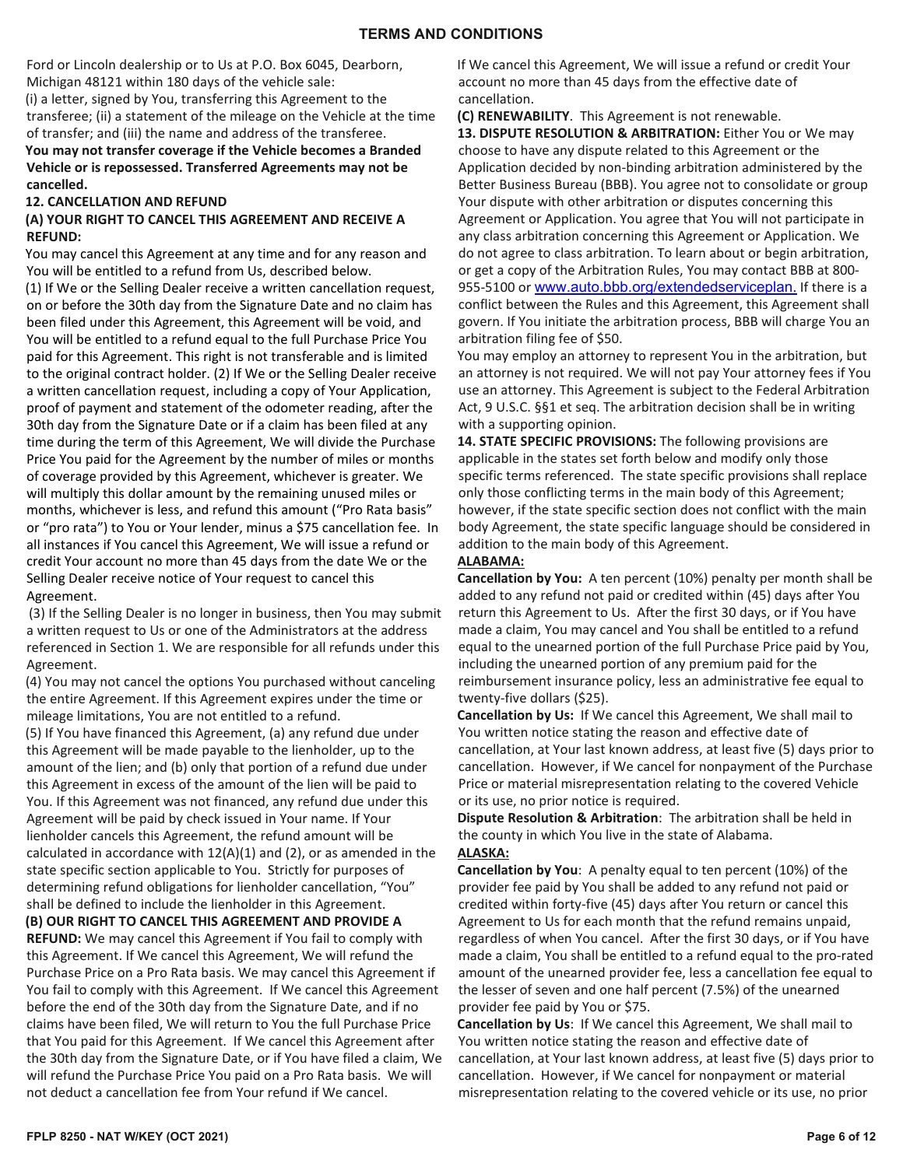Ford or Lincoln dealership or to Us at P.O. Box 6045, Dearborn, Michigan 48121 within 180 days of the vehicle sale: (i) a letter, signed by You, transferring this Agreement to the

transferee; (ii) a statement of the mileage on the Vehicle at the time of transfer; and (iii) the name and address of the transferee.

**You may not transfer coverage if the Vehicle becomes a Branded Vehicle or is repossessed. Transferred Agreements may not be cancelled.**

## **12. CANCELLATION AND REFUND**

#### **(A) YOUR RIGHT TO CANCEL THIS AGREEMENT AND RECEIVE A REFUND:**

You may cancel this Agreement at any time and for any reason and You will be entitled to a refund from Us, described below.

(1) If We or the Selling Dealer receive a written cancellation request, on or before the 30th day from the Signature Date and no claim has been filed under this Agreement, this Agreement will be void, and You will be entitled to a refund equal to the full Purchase Price You paid for this Agreement. This right is not transferable and is limited to the original contract holder. (2) If We or the Selling Dealer receive a written cancellation request, including a copy of Your Application, proof of payment and statement of the odometer reading, after the 30th day from the Signature Date or if a claim has been filed at any time during the term of this Agreement, We will divide the Purchase Price You paid for the Agreement by the number of miles or months of coverage provided by this Agreement, whichever is greater. We will multiply this dollar amount by the remaining unused miles or months, whichever is less, and refund this amount ("Pro Rata basis" or "pro rata") to You or Your lender, minus a \$75 cancellation fee. In all instances if You cancel this Agreement, We will issue a refund or credit Your account no more than 45 days from the date We or the Selling Dealer receive notice of Your request to cancel this Agreement.

(3) If the Selling Dealer is no longer in business, then You may submit a written request to Us or one of the Administrators at the address referenced in Section 1. We are responsible for all refunds under this Agreement.

(4) You may not cancel the options You purchased without canceling the entire Agreement. If this Agreement expires under the time or mileage limitations, You are not entitled to a refund.

(5) If You have financed this Agreement, (a) any refund due under this Agreement will be made payable to the lienholder, up to the amount of the lien; and (b) only that portion of a refund due under this Agreement in excess of the amount of the lien will be paid to You. If this Agreement was not financed, any refund due under this Agreement will be paid by check issued in Your name. If Your lienholder cancels this Agreement, the refund amount will be calculated in accordance with  $12(A)(1)$  and (2), or as amended in the state specific section applicable to You. Strictly for purposes of determining refund obligations for lienholder cancellation, "You" shall be defined to include the lienholder in this Agreement.

**(B) OUR RIGHT TO CANCEL THIS AGREEMENT AND PROVIDE A REFUND:** We may cancel this Agreement if You fail to comply with this Agreement. If We cancel this Agreement, We will refund the Purchase Price on a Pro Rata basis. We may cancel this Agreement if You fail to comply with this Agreement. If We cancel this Agreement before the end of the 30th day from the Signature Date, and if no claims have been filed, We will return to You the full Purchase Price that You paid for this Agreement. If We cancel this Agreement after the 30th day from the Signature Date, or if You have filed a claim, We will refund the Purchase Price You paid on a Pro Rata basis. We will not deduct a cancellation fee from Your refund if We cancel.

If We cancel this Agreement, We will issue a refund or credit Your account no more than 45 days from the effective date of cancellation.

**(C) RENEWABILITY**. This Agreement is not renewable.

**13. DISPUTE RESOLUTION & ARBITRATION:** Either You or We may choose to have any dispute related to this Agreement or the Application decided by non-binding arbitration administered by the Better Business Bureau (BBB). You agree not to consolidate or group Your dispute with other arbitration or disputes concerning this Agreement or Application. You agree that You will not participate in any class arbitration concerning this Agreement or Application. We do not agree to class arbitration. To learn about or begin arbitration, or get a copy of the Arbitration Rules, You may contact BBB at 800- 955-5100 or www.auto.bbb.org/extendedserviceplan. If there is a conflict between the Rules and this Agreement, this Agreement shall govern. If You initiate the arbitration process, BBB will charge You an arbitration filing fee of \$50.

You may employ an attorney to represent You in the arbitration, but an attorney is not required. We will not pay Your attorney fees if You use an attorney. This Agreement is subject to the Federal Arbitration Act, 9 U.S.C. §§1 et seq. The arbitration decision shall be in writing with a supporting opinion.

**14. STATE SPECIFIC PROVISIONS:** The following provisions are applicable in the states set forth below and modify only those specific terms referenced. The state specific provisions shall replace only those conflicting terms in the main body of this Agreement; however, if the state specific section does not conflict with the main body Agreement, the state specific language should be considered in addition to the main body of this Agreement.

#### **ALABAMA:**

**Cancellation by You:** A ten percent (10%) penalty per month shall be added to any refund not paid or credited within (45) days after You return this Agreement to Us. After the first 30 days, or if You have made a claim, You may cancel and You shall be entitled to a refund equal to the unearned portion of the full Purchase Price paid by You, including the unearned portion of any premium paid for the reimbursement insurance policy, less an administrative fee equal to twenty-five dollars (\$25).

**Cancellation by Us:** If We cancel this Agreement, We shall mail to You written notice stating the reason and effective date of cancellation, at Your last known address, at least five (5) days prior to cancellation. However, if We cancel for nonpayment of the Purchase Price or material misrepresentation relating to the covered Vehicle or its use, no prior notice is required.

**Dispute Resolution & Arbitration**: The arbitration shall be held in the county in which You live in the state of Alabama.

## **ALASKA:**

**Cancellation by You**: A penalty equal to ten percent (10%) of the provider fee paid by You shall be added to any refund not paid or credited within forty-five (45) days after You return or cancel this Agreement to Us for each month that the refund remains unpaid, regardless of when You cancel. After the first 30 days, or if You have made a claim, You shall be entitled to a refund equal to the pro-rated amount of the unearned provider fee, less a cancellation fee equal to the lesser of seven and one half percent (7.5%) of the unearned provider fee paid by You or \$75.

**Cancellation by Us**: If We cancel this Agreement, We shall mail to You written notice stating the reason and effective date of cancellation, at Your last known address, at least five (5) days prior to cancellation. However, if We cancel for nonpayment or material misrepresentation relating to the covered vehicle or its use, no prior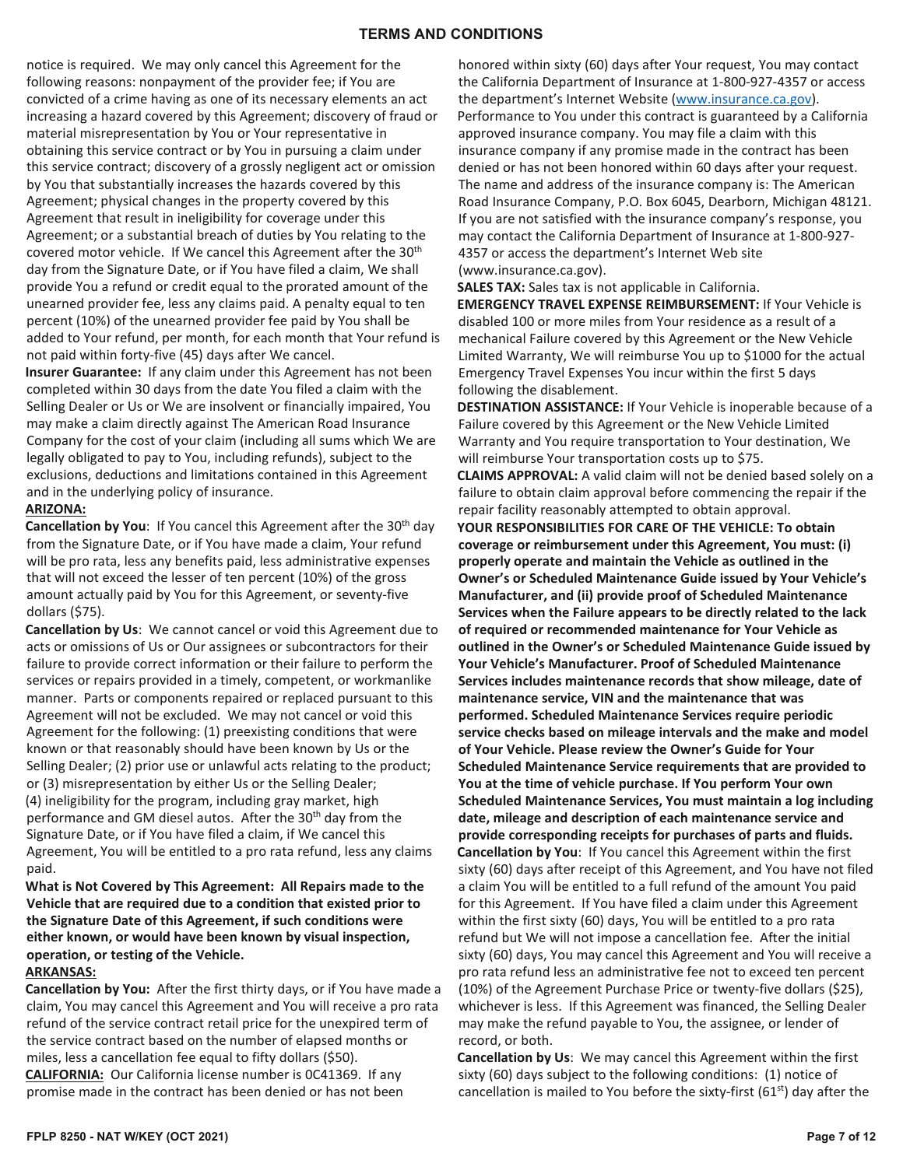#### **TERMS AND CONDITIONS**

notice is required. We may only cancel this Agreement for the following reasons: nonpayment of the provider fee; if You are convicted of a crime having as one of its necessary elements an act increasing a hazard covered by this Agreement; discovery of fraud or material misrepresentation by You or Your representative in obtaining this service contract or by You in pursuing a claim under this service contract; discovery of a grossly negligent act or omission by You that substantially increases the hazards covered by this Agreement; physical changes in the property covered by this Agreement that result in ineligibility for coverage under this Agreement; or a substantial breach of duties by You relating to the covered motor vehicle. If We cancel this Agreement after the 30<sup>th</sup> day from the Signature Date, or if You have filed a claim, We shall provide You a refund or credit equal to the prorated amount of the unearned provider fee, less any claims paid. A penalty equal to ten percent (10%) of the unearned provider fee paid by You shall be added to Your refund, per month, for each month that Your refund is not paid within forty-five (45) days after We cancel.

**Insurer Guarantee:** If any claim under this Agreement has not been completed within 30 days from the date You filed a claim with the Selling Dealer or Us or We are insolvent or financially impaired, You may make a claim directly against The American Road Insurance Company for the cost of your claim (including all sums which We are legally obligated to pay to You, including refunds), subject to the exclusions, deductions and limitations contained in this Agreement and in the underlying policy of insurance.

#### **ARIZONA:**

**Cancellation by You:** If You cancel this Agreement after the 30<sup>th</sup> day from the Signature Date, or if You have made a claim, Your refund will be pro rata, less any benefits paid, less administrative expenses that will not exceed the lesser of ten percent (10%) of the gross amount actually paid by You for this Agreement, or seventy-five dollars (\$75).

**Cancellation by Us**: We cannot cancel or void this Agreement due to acts or omissions of Us or Our assignees or subcontractors for their failure to provide correct information or their failure to perform the services or repairs provided in a timely, competent, or workmanlike manner. Parts or components repaired or replaced pursuant to this Agreement will not be excluded. We may not cancel or void this Agreement for the following: (1) preexisting conditions that were known or that reasonably should have been known by Us or the Selling Dealer; (2) prior use or unlawful acts relating to the product; or (3) misrepresentation by either Us or the Selling Dealer; (4) ineligibility for the program, including gray market, high performance and GM diesel autos. After the 30<sup>th</sup> day from the Signature Date, or if You have filed a claim, if We cancel this Agreement, You will be entitled to a pro rata refund, less any claims paid.

## **What is Not Covered by This Agreement: All Repairs made to the Vehicle that are required due to a condition that existed prior to the Signature Date of this Agreement, if such conditions were either known, or would have been known by visual inspection, operation, or testing of the Vehicle.**

#### **ARKANSAS:**

**Cancellation by You:** After the first thirty days, or if You have made a claim, You may cancel this Agreement and You will receive a pro rata refund of the service contract retail price for the unexpired term of the service contract based on the number of elapsed months or miles, less a cancellation fee equal to fifty dollars (\$50). **CALIFORNIA:** Our California license number is 0C41369. If any promise made in the contract has been denied or has not been

honored within sixty (60) days after Your request, You may contact the California Department of Insurance at 1-800-927-4357 or access the department's Internet Website [\(www.insurance.ca.gov\)](http://www.insurance.ca.gov/). Performance to You under this contract is guaranteed by a California approved insurance company. You may file a claim with this insurance company if any promise made in the contract has been denied or has not been honored within 60 days after your request. The name and address of the insurance company is: The American Road Insurance Company, P.O. Box 6045, Dearborn, Michigan 48121. If you are not satisfied with the insurance company's response, you may contact the California Department of Insurance at 1-800-927- 4357 or access the department's Internet Web site (www.insurance.ca.gov).

**SALES TAX:** Sales tax is not applicable in California.

**EMERGENCY TRAVEL EXPENSE REIMBURSEMENT:** If Your Vehicle is disabled 100 or more miles from Your residence as a result of a mechanical Failure covered by this Agreement or the New Vehicle Limited Warranty, We will reimburse You up to \$1000 for the actual Emergency Travel Expenses You incur within the first 5 days following the disablement.

**DESTINATION ASSISTANCE:** If Your Vehicle is inoperable because of a Failure covered by this Agreement or the New Vehicle Limited Warranty and You require transportation to Your destination, We will reimburse Your transportation costs up to \$75. **CLAIMS APPROVAL:** A valid claim will not be denied based solely on a failure to obtain claim approval before commencing the repair if the repair facility reasonably attempted to obtain approval.

**YOUR RESPONSIBILITIES FOR CARE OF THE VEHICLE: To obtain coverage or reimbursement under this Agreement, You must: (i) properly operate and maintain the Vehicle as outlined in the Owner's or Scheduled Maintenance Guide issued by Your Vehicle's Manufacturer, and (ii) provide proof of Scheduled Maintenance Services when the Failure appears to be directly related to the lack of required or recommended maintenance for Your Vehicle as outlined in the Owner's or Scheduled Maintenance Guide issued by Your Vehicle's Manufacturer. Proof of Scheduled Maintenance Services includes maintenance records that show mileage, date of maintenance service, VIN and the maintenance that was performed. Scheduled Maintenance Services require periodic service checks based on mileage intervals and the make and model of Your Vehicle. Please review the Owner's Guide for Your Scheduled Maintenance Service requirements that are provided to You at the time of vehicle purchase. If You perform Your own Scheduled Maintenance Services, You must maintain a log including date, mileage and description of each maintenance service and provide corresponding receipts for purchases of parts and fluids. Cancellation by You**: If You cancel this Agreement within the first sixty (60) days after receipt of this Agreement, and You have not filed a claim You will be entitled to a full refund of the amount You paid for this Agreement. If You have filed a claim under this Agreement within the first sixty (60) days, You will be entitled to a pro rata refund but We will not impose a cancellation fee. After the initial sixty (60) days, You may cancel this Agreement and You will receive a pro rata refund less an administrative fee not to exceed ten percent (10%) of the Agreement Purchase Price or twenty-five dollars (\$25), whichever is less. If this Agreement was financed, the Selling Dealer may make the refund payable to You, the assignee, or lender of record, or both.

**Cancellation by Us**: We may cancel this Agreement within the first sixty (60) days subject to the following conditions: (1) notice of cancellation is mailed to You before the sixty-first (61<sup>st</sup>) day after the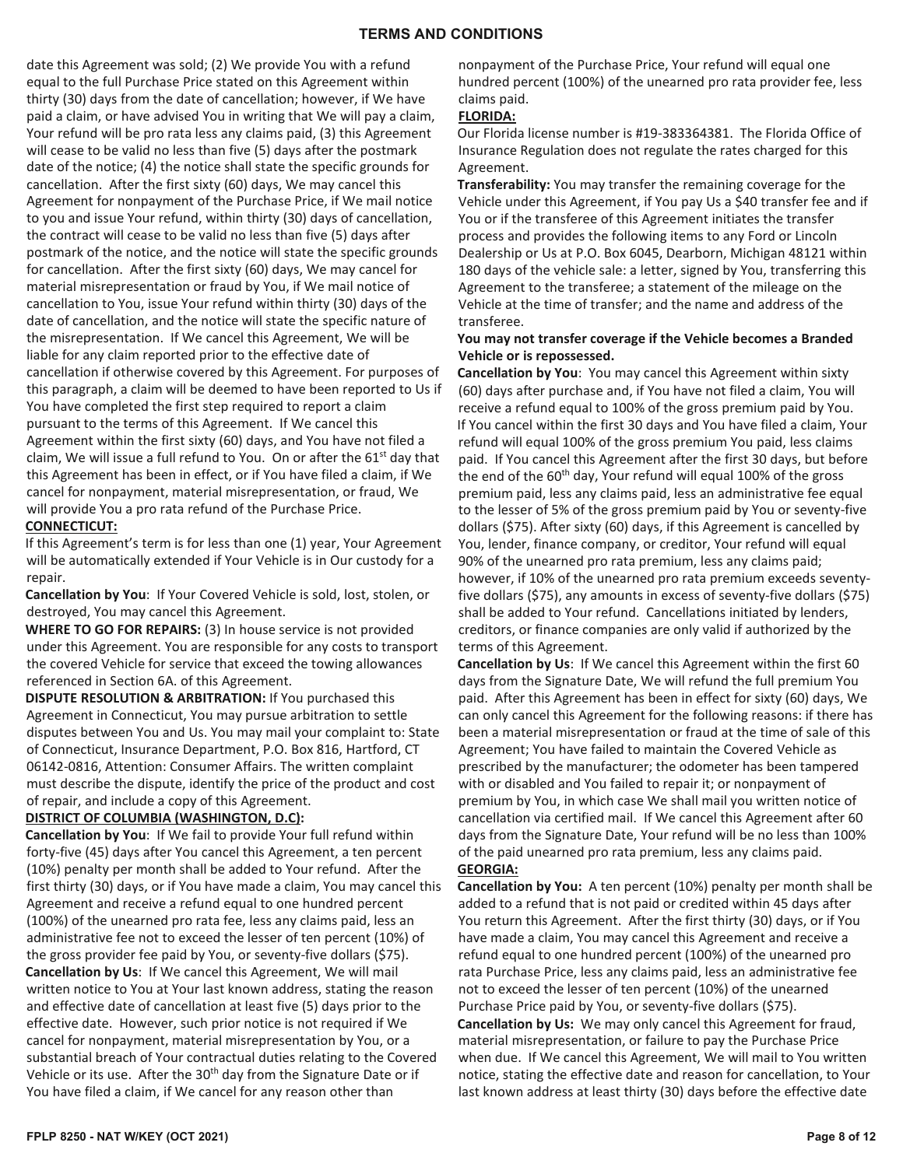#### **TERMS AND CONDITIONS**

date this Agreement was sold; (2) We provide You with a refund equal to the full Purchase Price stated on this Agreement within thirty (30) days from the date of cancellation; however, if We have paid a claim, or have advised You in writing that We will pay a claim, Your refund will be pro rata less any claims paid, (3) this Agreement will cease to be valid no less than five (5) days after the postmark date of the notice; (4) the notice shall state the specific grounds for cancellation. After the first sixty (60) days, We may cancel this Agreement for nonpayment of the Purchase Price, if We mail notice to you and issue Your refund, within thirty (30) days of cancellation, the contract will cease to be valid no less than five (5) days after postmark of the notice, and the notice will state the specific grounds for cancellation. After the first sixty (60) days, We may cancel for material misrepresentation or fraud by You, if We mail notice of cancellation to You, issue Your refund within thirty (30) days of the date of cancellation, and the notice will state the specific nature of the misrepresentation. If We cancel this Agreement, We will be liable for any claim reported prior to the effective date of cancellation if otherwise covered by this Agreement. For purposes of this paragraph, a claim will be deemed to have been reported to Us if You have completed the first step required to report a claim pursuant to the terms of this Agreement. If We cancel this Agreement within the first sixty (60) days, and You have not filed a claim, We will issue a full refund to You. On or after the  $61<sup>st</sup>$  day that this Agreement has been in effect, or if You have filed a claim, if We cancel for nonpayment, material misrepresentation, or fraud, We will provide You a pro rata refund of the Purchase Price. **CONNECTICUT:**

#### If this Agreement's term is for less than one (1) year, Your Agreement will be automatically extended if Your Vehicle is in Our custody for a repair.

**Cancellation by You**: If Your Covered Vehicle is sold, lost, stolen, or destroyed, You may cancel this Agreement.

**WHERE TO GO FOR REPAIRS:** (3) In house service is not provided under this Agreement. You are responsible for any costs to transport the covered Vehicle for service that exceed the towing allowances referenced in Section 6A. of this Agreement.

**DISPUTE RESOLUTION & ARBITRATION:** If You purchased this Agreement in Connecticut, You may pursue arbitration to settle disputes between You and Us. You may mail your complaint to: State of Connecticut, Insurance Department, P.O. Box 816, Hartford, CT 06142-0816, Attention: Consumer Affairs. The written complaint must describe the dispute, identify the price of the product and cost of repair, and include a copy of this Agreement.

## **DISTRICT OF COLUMBIA (WASHINGTON, D.C):**

**Cancellation by You**: If We fail to provide Your full refund within forty-five (45) days after You cancel this Agreement, a ten percent (10%) penalty per month shall be added to Your refund. After the first thirty (30) days, or if You have made a claim, You may cancel this Agreement and receive a refund equal to one hundred percent (100%) of the unearned pro rata fee, less any claims paid, less an administrative fee not to exceed the lesser of ten percent (10%) of the gross provider fee paid by You, or seventy-five dollars (\$75). **Cancellation by Us**: If We cancel this Agreement, We will mail written notice to You at Your last known address, stating the reason and effective date of cancellation at least five (5) days prior to the effective date. However, such prior notice is not required if We cancel for nonpayment, material misrepresentation by You, or a substantial breach of Your contractual duties relating to the Covered Vehicle or its use. After the 30<sup>th</sup> day from the Signature Date or if You have filed a claim, if We cancel for any reason other than

nonpayment of the Purchase Price, Your refund will equal one hundred percent (100%) of the unearned pro rata provider fee, less claims paid.

#### **FLORIDA:**

Our Florida license number is #19-383364381. The Florida Office of Insurance Regulation does not regulate the rates charged for this Agreement.

**Transferability:** You may transfer the remaining coverage for the Vehicle under this Agreement, if You pay Us a \$40 transfer fee and if You or if the transferee of this Agreement initiates the transfer process and provides the following items to any Ford or Lincoln Dealership or Us at P.O. Box 6045, Dearborn, Michigan 48121 within 180 days of the vehicle sale: a letter, signed by You, transferring this Agreement to the transferee; a statement of the mileage on the Vehicle at the time of transfer; and the name and address of the transferee.

## **You may not transfer coverage if the Vehicle becomes a Branded Vehicle or is repossessed.**

**Cancellation by You**: You may cancel this Agreement within sixty (60) days after purchase and, if You have not filed a claim, You will receive a refund equal to 100% of the gross premium paid by You. If You cancel within the first 30 days and You have filed a claim, Your refund will equal 100% of the gross premium You paid, less claims paid. If You cancel this Agreement after the first 30 days, but before the end of the 60<sup>th</sup> day, Your refund will equal 100% of the gross premium paid, less any claims paid, less an administrative fee equal to the lesser of 5% of the gross premium paid by You or seventy-five dollars (\$75). After sixty (60) days, if this Agreement is cancelled by You, lender, finance company, or creditor, Your refund will equal 90% of the unearned pro rata premium, less any claims paid; however, if 10% of the unearned pro rata premium exceeds seventyfive dollars (\$75), any amounts in excess of seventy-five dollars (\$75) shall be added to Your refund. Cancellations initiated by lenders, creditors, or finance companies are only valid if authorized by the terms of this Agreement.

**Cancellation by Us**: If We cancel this Agreement within the first 60 days from the Signature Date, We will refund the full premium You paid. After this Agreement has been in effect for sixty (60) days, We can only cancel this Agreement for the following reasons: if there has been a material misrepresentation or fraud at the time of sale of this Agreement; You have failed to maintain the Covered Vehicle as prescribed by the manufacturer; the odometer has been tampered with or disabled and You failed to repair it; or nonpayment of premium by You, in which case We shall mail you written notice of cancellation via certified mail. If We cancel this Agreement after 60 days from the Signature Date, Your refund will be no less than 100% of the paid unearned pro rata premium, less any claims paid. **GEORGIA:**

**Cancellation by You:** A ten percent (10%) penalty per month shall be added to a refund that is not paid or credited within 45 days after You return this Agreement. After the first thirty (30) days, or if You have made a claim, You may cancel this Agreement and receive a refund equal to one hundred percent (100%) of the unearned pro rata Purchase Price, less any claims paid, less an administrative fee not to exceed the lesser of ten percent (10%) of the unearned Purchase Price paid by You, or seventy-five dollars (\$75).

**Cancellation by Us:** We may only cancel this Agreement for fraud, material misrepresentation, or failure to pay the Purchase Price when due. If We cancel this Agreement, We will mail to You written notice, stating the effective date and reason for cancellation, to Your last known address at least thirty (30) days before the effective date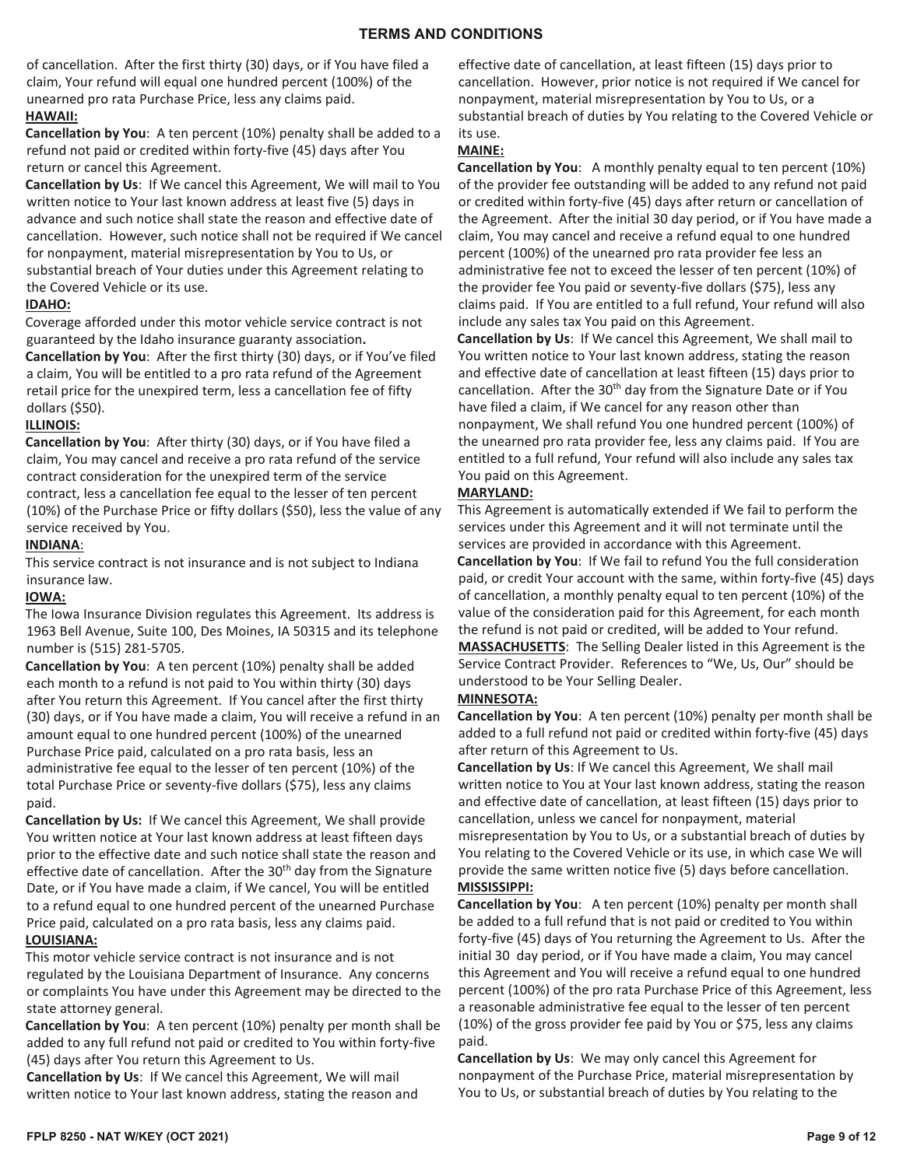of cancellation. After the first thirty (30) days, or if You have filed a claim, Your refund will equal one hundred percent (100%) of the unearned pro rata Purchase Price, less any claims paid. **HAWAII:**

**Cancellation by You**: A ten percent (10%) penalty shall be added to a refund not paid or credited within forty-five (45) days after You return or cancel this Agreement.

**Cancellation by Us**: If We cancel this Agreement, We will mail to You written notice to Your last known address at least five (5) days in advance and such notice shall state the reason and effective date of cancellation. However, such notice shall not be required if We cancel for nonpayment, material misrepresentation by You to Us, or substantial breach of Your duties under this Agreement relating to the Covered Vehicle or its use.

## **IDAHO:**

Coverage afforded under this motor vehicle service contract is not guaranteed by the Idaho insurance guaranty association**. Cancellation by You**: After the first thirty (30) days, or if You've filed a claim, You will be entitled to a pro rata refund of the Agreement retail price for the unexpired term, less a cancellation fee of fifty dollars (\$50).

## **ILLINOIS:**

**Cancellation by You**: After thirty (30) days, or if You have filed a claim, You may cancel and receive a pro rata refund of the service contract consideration for the unexpired term of the service contract, less a cancellation fee equal to the lesser of ten percent (10%) of the Purchase Price or fifty dollars (\$50), less the value of any service received by You.

#### **INDIANA**:

This service contract is not insurance and is not subject to Indiana insurance law.

## **IOWA:**

The Iowa Insurance Division regulates this Agreement. Its address is 1963 Bell Avenue, Suite 100, Des Moines, IA 50315 and its telephone number is (515) 281-5705.

**Cancellation by You**: A ten percent (10%) penalty shall be added each month to a refund is not paid to You within thirty (30) days after You return this Agreement. If You cancel after the first thirty (30) days, or if You have made a claim, You will receive a refund in an amount equal to one hundred percent (100%) of the unearned Purchase Price paid, calculated on a pro rata basis, less an administrative fee equal to the lesser of ten percent (10%) of the total Purchase Price or seventy-five dollars (\$75), less any claims paid.

**Cancellation by Us:** If We cancel this Agreement, We shall provide You written notice at Your last known address at least fifteen days prior to the effective date and such notice shall state the reason and effective date of cancellation. After the 30<sup>th</sup> day from the Signature Date, or if You have made a claim, if We cancel, You will be entitled to a refund equal to one hundred percent of the unearned Purchase Price paid, calculated on a pro rata basis, less any claims paid.

## **LOUISIANA:**

This motor vehicle service contract is not insurance and is not regulated by the Louisiana Department of Insurance. Any concerns or complaints You have under this Agreement may be directed to the state attorney general.

**Cancellation by You**: A ten percent (10%) penalty per month shall be added to any full refund not paid or credited to You within forty-five (45) days after You return this Agreement to Us.

**Cancellation by Us**: If We cancel this Agreement, We will mail written notice to Your last known address, stating the reason and effective date of cancellation, at least fifteen (15) days prior to cancellation. However, prior notice is not required if We cancel for nonpayment, material misrepresentation by You to Us, or a substantial breach of duties by You relating to the Covered Vehicle or its use.

## **MAINE:**

**Cancellation by You**: A monthly penalty equal to ten percent (10%) of the provider fee outstanding will be added to any refund not paid or credited within forty-five (45) days after return or cancellation of the Agreement. After the initial 30 day period, or if You have made a claim, You may cancel and receive a refund equal to one hundred percent (100%) of the unearned pro rata provider fee less an administrative fee not to exceed the lesser of ten percent (10%) of the provider fee You paid or seventy-five dollars (\$75), less any claims paid. If You are entitled to a full refund, Your refund will also include any sales tax You paid on this Agreement.

**Cancellation by Us**: If We cancel this Agreement, We shall mail to You written notice to Your last known address, stating the reason and effective date of cancellation at least fifteen (15) days prior to cancellation. After the 30<sup>th</sup> day from the Signature Date or if You have filed a claim, if We cancel for any reason other than nonpayment, We shall refund You one hundred percent (100%) of the unearned pro rata provider fee, less any claims paid. If You are entitled to a full refund, Your refund will also include any sales tax You paid on this Agreement.

## **MARYLAND:**

This Agreement is automatically extended if We fail to perform the services under this Agreement and it will not terminate until the services are provided in accordance with this Agreement. **Cancellation by You**: If We fail to refund You the full consideration paid, or credit Your account with the same, within forty-five (45) days of cancellation, a monthly penalty equal to ten percent (10%) of the value of the consideration paid for this Agreement, for each month the refund is not paid or credited, will be added to Your refund. **MASSACHUSETTS**: The Selling Dealer listed in this Agreement is the Service Contract Provider. References to "We, Us, Our" should be understood to be Your Selling Dealer.

## **MINNESOTA:**

**Cancellation by You**: A ten percent (10%) penalty per month shall be added to a full refund not paid or credited within forty-five (45) days after return of this Agreement to Us.

**Cancellation by Us**: If We cancel this Agreement, We shall mail written notice to You at Your last known address, stating the reason and effective date of cancellation, at least fifteen (15) days prior to cancellation, unless we cancel for nonpayment, material misrepresentation by You to Us, or a substantial breach of duties by You relating to the Covered Vehicle or its use, in which case We will provide the same written notice five (5) days before cancellation. **MISSISSIPPI:** 

**Cancellation by You**: A ten percent (10%) penalty per month shall be added to a full refund that is not paid or credited to You within forty-five (45) days of You returning the Agreement to Us. After the initial 30 day period, or if You have made a claim, You may cancel this Agreement and You will receive a refund equal to one hundred percent (100%) of the pro rata Purchase Price of this Agreement, less a reasonable administrative fee equal to the lesser of ten percent (10%) of the gross provider fee paid by You or \$75, less any claims paid.

**Cancellation by Us**: We may only cancel this Agreement for nonpayment of the Purchase Price, material misrepresentation by You to Us, or substantial breach of duties by You relating to the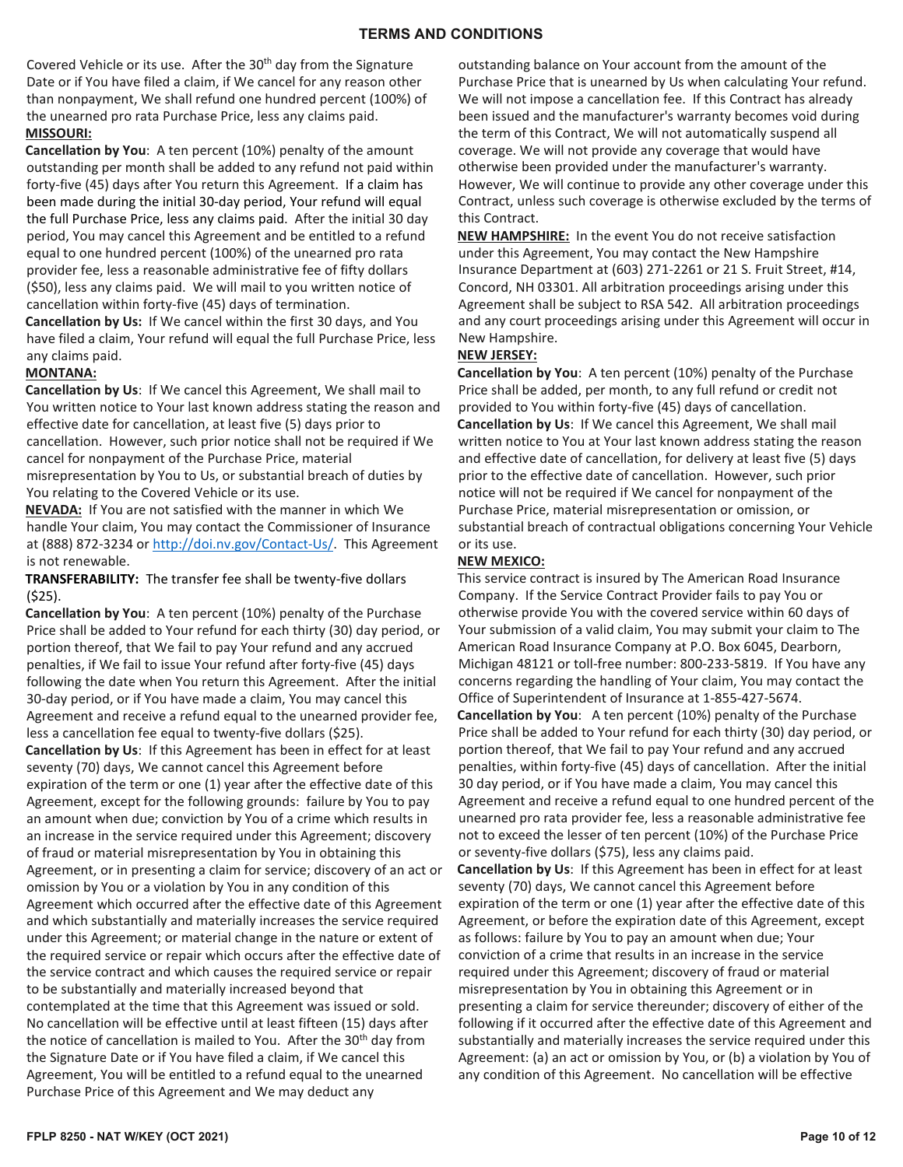Covered Vehicle or its use. After the 30<sup>th</sup> day from the Signature Date or if You have filed a claim, if We cancel for any reason other than nonpayment, We shall refund one hundred percent (100%) of the unearned pro rata Purchase Price, less any claims paid. **MISSOURI:** 

**Cancellation by You**: A ten percent (10%) penalty of the amount outstanding per month shall be added to any refund not paid within forty-five (45) days after You return this Agreement. If a claim has been made during the initial 30-day period, Your refund will equal the full Purchase Price, less any claims paid. After the initial 30 day period, You may cancel this Agreement and be entitled to a refund equal to one hundred percent (100%) of the unearned pro rata provider fee, less a reasonable administrative fee of fifty dollars (\$50), less any claims paid. We will mail to you written notice of cancellation within forty-five (45) days of termination.

**Cancellation by Us:** If We cancel within the first 30 days, and You have filed a claim, Your refund will equal the full Purchase Price, less any claims paid.

## **MONTANA:**

**Cancellation by Us**: If We cancel this Agreement, We shall mail to You written notice to Your last known address stating the reason and effective date for cancellation, at least five (5) days prior to cancellation. However, such prior notice shall not be required if We cancel for nonpayment of the Purchase Price, material misrepresentation by You to Us, or substantial breach of duties by You relating to the Covered Vehicle or its use.

**NEVADA:** If You are not satisfied with the manner in which We handle Your claim, You may contact the Commissioner of Insurance at (888) 872-3234 or [http://doi.nv.gov/Contact-Us/.](http://doi.nv.gov/Contact-Us/) This Agreement is not renewable.

**TRANSFERABILITY:** The transfer fee shall be twenty-five dollars (\$25).

**Cancellation by You**: A ten percent (10%) penalty of the Purchase Price shall be added to Your refund for each thirty (30) day period, or portion thereof, that We fail to pay Your refund and any accrued penalties, if We fail to issue Your refund after forty-five (45) days following the date when You return this Agreement. After the initial 30-day period, or if You have made a claim, You may cancel this Agreement and receive a refund equal to the unearned provider fee, less a cancellation fee equal to twenty-five dollars (\$25). **Cancellation by Us**: If this Agreement has been in effect for at least seventy (70) days, We cannot cancel this Agreement before expiration of the term or one (1) year after the effective date of this Agreement, except for the following grounds: failure by You to pay an amount when due; conviction by You of a crime which results in an increase in the service required under this Agreement; discovery of fraud or material misrepresentation by You in obtaining this Agreement, or in presenting a claim for service; discovery of an act or omission by You or a violation by You in any condition of this Agreement which occurred after the effective date of this Agreement and which substantially and materially increases the service required under this Agreement; or material change in the nature or extent of the required service or repair which occurs after the effective date of the service contract and which causes the required service or repair to be substantially and materially increased beyond that contemplated at the time that this Agreement was issued or sold. No cancellation will be effective until at least fifteen (15) days after the notice of cancellation is mailed to You. After the 30<sup>th</sup> day from the Signature Date or if You have filed a claim, if We cancel this Agreement, You will be entitled to a refund equal to the unearned Purchase Price of this Agreement and We may deduct any

outstanding balance on Your account from the amount of the Purchase Price that is unearned by Us when calculating Your refund. We will not impose a cancellation fee. If this Contract has already been issued and the manufacturer's warranty becomes void during the term of this Contract, We will not automatically suspend all coverage. We will not provide any coverage that would have otherwise been provided under the manufacturer's warranty. However, We will continue to provide any other coverage under this Contract, unless such coverage is otherwise excluded by the terms of this Contract.

**NEW HAMPSHIRE:** In the event You do not receive satisfaction under this Agreement, You may contact the New Hampshire Insurance Department at (603) 271-2261 or 21 S. Fruit Street, #14, Concord, NH 03301. All arbitration proceedings arising under this Agreement shall be subject to RSA 542. All arbitration proceedings and any court proceedings arising under this Agreement will occur in New Hampshire.

## **NEW JERSEY:**

**Cancellation by You**: A ten percent (10%) penalty of the Purchase Price shall be added, per month, to any full refund or credit not provided to You within forty-five (45) days of cancellation. **Cancellation by Us**: If We cancel this Agreement, We shall mail written notice to You at Your last known address stating the reason and effective date of cancellation, for delivery at least five (5) days prior to the effective date of cancellation. However, such prior notice will not be required if We cancel for nonpayment of the Purchase Price, material misrepresentation or omission, or substantial breach of contractual obligations concerning Your Vehicle or its use.

## **NEW MEXICO:**

This service contract is insured by The American Road Insurance Company. If the Service Contract Provider fails to pay You or otherwise provide You with the covered service within 60 days of Your submission of a valid claim, You may submit your claim to The American Road Insurance Company at P.O. Box 6045, Dearborn, Michigan 48121 or toll-free number: 800-233-5819. If You have any concerns regarding the handling of Your claim, You may contact the Office of Superintendent of Insurance at 1-855-427-5674. **Cancellation by You**: A ten percent (10%) penalty of the Purchase Price shall be added to Your refund for each thirty (30) day period, or portion thereof, that We fail to pay Your refund and any accrued

penalties, within forty-five (45) days of cancellation. After the initial 30 day period, or if You have made a claim, You may cancel this Agreement and receive a refund equal to one hundred percent of the unearned pro rata provider fee, less a reasonable administrative fee not to exceed the lesser of ten percent (10%) of the Purchase Price or seventy-five dollars (\$75), less any claims paid.

**Cancellation by Us**: If this Agreement has been in effect for at least seventy (70) days, We cannot cancel this Agreement before expiration of the term or one (1) year after the effective date of this Agreement, or before the expiration date of this Agreement, except as follows: failure by You to pay an amount when due; Your conviction of a crime that results in an increase in the service required under this Agreement; discovery of fraud or material misrepresentation by You in obtaining this Agreement or in presenting a claim for service thereunder; discovery of either of the following if it occurred after the effective date of this Agreement and substantially and materially increases the service required under this Agreement: (a) an act or omission by You, or (b) a violation by You of any condition of this Agreement. No cancellation will be effective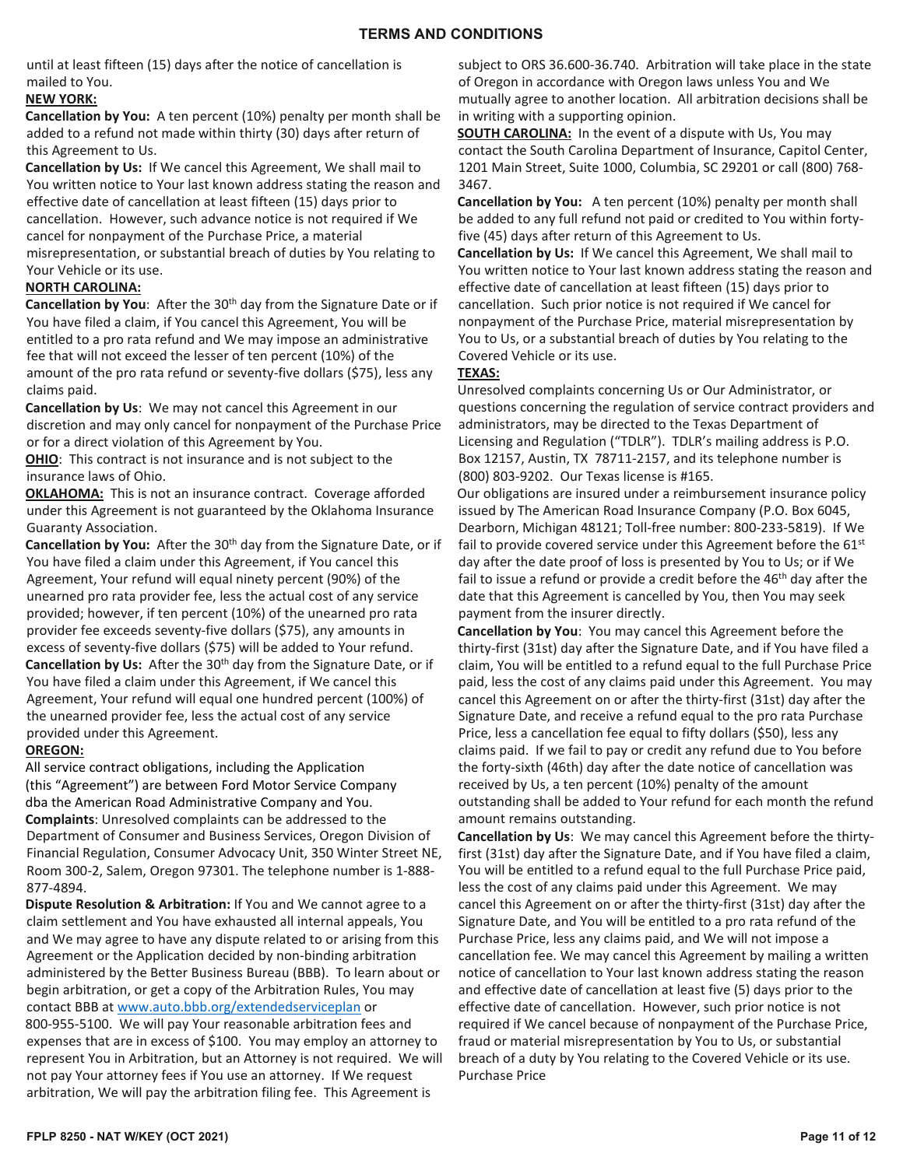until at least fifteen (15) days after the notice of cancellation is mailed to You.

## **NEW YORK:**

**Cancellation by You:** A ten percent (10%) penalty per month shall be added to a refund not made within thirty (30) days after return of this Agreement to Us.

**Cancellation by Us:** If We cancel this Agreement, We shall mail to You written notice to Your last known address stating the reason and effective date of cancellation at least fifteen (15) days prior to cancellation. However, such advance notice is not required if We cancel for nonpayment of the Purchase Price, a material misrepresentation, or substantial breach of duties by You relating to Your Vehicle or its use.

#### **NORTH CAROLINA:**

**Cancellation by You:** After the 30<sup>th</sup> day from the Signature Date or if You have filed a claim, if You cancel this Agreement, You will be entitled to a pro rata refund and We may impose an administrative fee that will not exceed the lesser of ten percent (10%) of the amount of the pro rata refund or seventy-five dollars (\$75), less any claims paid.

**Cancellation by Us**: We may not cancel this Agreement in our discretion and may only cancel for nonpayment of the Purchase Price or for a direct violation of this Agreement by You.

**OHIO**: This contract is not insurance and is not subject to the insurance laws of Ohio.

**OKLAHOMA:** This is not an insurance contract. Coverage afforded under this Agreement is not guaranteed by the Oklahoma Insurance Guaranty Association.

Cancellation by You: After the 30<sup>th</sup> day from the Signature Date, or if You have filed a claim under this Agreement, if You cancel this Agreement, Your refund will equal ninety percent (90%) of the unearned pro rata provider fee, less the actual cost of any service provided; however, if ten percent (10%) of the unearned pro rata provider fee exceeds seventy-five dollars (\$75), any amounts in excess of seventy-five dollars (\$75) will be added to Your refund. **Cancellation by Us:** After the 30<sup>th</sup> day from the Signature Date, or if You have filed a claim under this Agreement, if We cancel this Agreement, Your refund will equal one hundred percent (100%) of the unearned provider fee, less the actual cost of any service provided under this Agreement.

## **OREGON:**

All service contract obligations, including the Application (this "Agreement") are between Ford Motor Service Company dba the American Road Administrative Company and You. **Complaints**: Unresolved complaints can be addressed to the Department of Consumer and Business Services, Oregon Division of Financial Regulation, Consumer Advocacy Unit, 350 Winter Street NE, Room 300-2, Salem, Oregon 97301. The telephone number is 1-888- 877-4894.

**Dispute Resolution & Arbitration:** If You and We cannot agree to a claim settlement and You have exhausted all internal appeals, You and We may agree to have any dispute related to or arising from this Agreement or the Application decided by non-binding arbitration administered by the Better Business Bureau (BBB). To learn about or begin arbitration, or get a copy of the Arbitration Rules, You may contact BBB a[t www.auto.bbb.org/extendedserviceplan](http://www.auto.bbb.org/extendedserviceplan) or 800-955-5100. We will pay Your reasonable arbitration fees and expenses that are in excess of \$100. You may employ an attorney to represent You in Arbitration, but an Attorney is not required. We will not pay Your attorney fees if You use an attorney. If We request arbitration, We will pay the arbitration filing fee. This Agreement is

subject to ORS 36.600-36.740. Arbitration will take place in the state of Oregon in accordance with Oregon laws unless You and We mutually agree to another location. All arbitration decisions shall be in writing with a supporting opinion.

**SOUTH CAROLINA:** In the event of a dispute with Us, You may contact the South Carolina Department of Insurance, Capitol Center, 1201 Main Street, Suite 1000, Columbia, SC 29201 or call (800) 768- 3467.

**Cancellation by You:** A ten percent (10%) penalty per month shall be added to any full refund not paid or credited to You within fortyfive (45) days after return of this Agreement to Us.

**Cancellation by Us:** If We cancel this Agreement, We shall mail to You written notice to Your last known address stating the reason and effective date of cancellation at least fifteen (15) days prior to cancellation. Such prior notice is not required if We cancel for nonpayment of the Purchase Price, material misrepresentation by You to Us, or a substantial breach of duties by You relating to the Covered Vehicle or its use.

#### **TEXAS:**

Unresolved complaints concerning Us or Our Administrator, or questions concerning the regulation of service contract providers and administrators, may be directed to the Texas Department of Licensing and Regulation ("TDLR"). TDLR's mailing address is P.O. Box 12157, Austin, TX 78711-2157, and its telephone number is (800) 803-9202. Our Texas license is #165.

Our obligations are insured under a reimbursement insurance policy issued by The American Road Insurance Company (P.O. Box 6045, Dearborn, Michigan 48121; Toll-free number: 800-233-5819). If We fail to provide covered service under this Agreement before the 61<sup>st</sup> day after the date proof of loss is presented by You to Us; or if We fail to issue a refund or provide a credit before the  $46<sup>th</sup>$  day after the date that this Agreement is cancelled by You, then You may seek payment from the insurer directly.

**Cancellation by You**: You may cancel this Agreement before the thirty-first (31st) day after the Signature Date, and if You have filed a claim, You will be entitled to a refund equal to the full Purchase Price paid, less the cost of any claims paid under this Agreement. You may cancel this Agreement on or after the thirty-first (31st) day after the Signature Date, and receive a refund equal to the pro rata Purchase Price, less a cancellation fee equal to fifty dollars (\$50), less any claims paid. If we fail to pay or credit any refund due to You before the forty-sixth (46th) day after the date notice of cancellation was received by Us, a ten percent (10%) penalty of the amount outstanding shall be added to Your refund for each month the refund amount remains outstanding.

**Cancellation by Us**: We may cancel this Agreement before the thirtyfirst (31st) day after the Signature Date, and if You have filed a claim, You will be entitled to a refund equal to the full Purchase Price paid, less the cost of any claims paid under this Agreement. We may cancel this Agreement on or after the thirty-first (31st) day after the Signature Date, and You will be entitled to a pro rata refund of the Purchase Price, less any claims paid, and We will not impose a cancellation fee. We may cancel this Agreement by mailing a written notice of cancellation to Your last known address stating the reason and effective date of cancellation at least five (5) days prior to the effective date of cancellation. However, such prior notice is not required if We cancel because of nonpayment of the Purchase Price, fraud or material misrepresentation by You to Us, or substantial breach of a duty by You relating to the Covered Vehicle or its use. Purchase Price